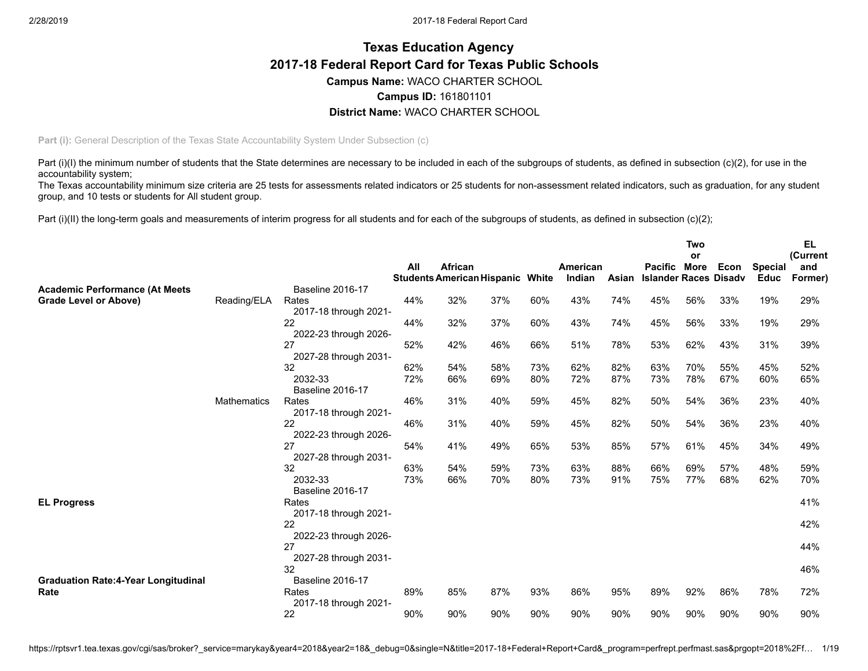# **Texas Education Agency 2017-18 Federal Report Card for Texas Public Schools Campus Name:** WACO CHARTER SCHOOL **Campus ID:** 161801101 **District Name:** WACO CHARTER SCHOOL

**Part (i):** General Description of the Texas State Accountability System Under Subsection (c)

Part (i)(I) the minimum number of students that the State determines are necessary to be included in each of the subgroups of students, as defined in subsection (c)(2), for use in the accountability system;

The Texas accountability minimum size criteria are 25 tests for assessments related indicators or 25 students for non-assessment related indicators, such as graduation, for any student group, and 10 tests or students for All student group.

Part (i)(II) the long-term goals and measurements of interim progress for all students and for each of the subgroups of students, as defined in subsection (c)(2);

|                                            |                    |                             |     |                                   |     |       |          |       |                              | Two |      |                | EL       |
|--------------------------------------------|--------------------|-----------------------------|-----|-----------------------------------|-----|-------|----------|-------|------------------------------|-----|------|----------------|----------|
|                                            |                    |                             |     |                                   |     |       |          |       |                              | or  |      |                | (Current |
|                                            |                    |                             | All | African                           |     |       | American |       | Pacific More                 |     | Econ | <b>Special</b> | and      |
| <b>Academic Performance (At Meets</b>      |                    | Baseline 2016-17            |     | <b>Students American Hispanic</b> |     | White | Indian   | Asian | <b>Islander Races Disadv</b> |     |      | <b>Educ</b>    | Former)  |
| Grade Level or Above)                      | Reading/ELA        | Rates                       | 44% | 32%                               | 37% | 60%   | 43%      | 74%   | 45%                          | 56% | 33%  | 19%            | 29%      |
|                                            |                    | 2017-18 through 2021-       |     |                                   |     |       |          |       |                              |     |      |                |          |
|                                            |                    | 22                          | 44% | 32%                               | 37% | 60%   | 43%      | 74%   | 45%                          | 56% | 33%  | 19%            | 29%      |
|                                            |                    | 2022-23 through 2026-       |     |                                   |     |       |          |       |                              |     |      |                |          |
|                                            |                    | 27                          | 52% | 42%                               | 46% | 66%   | 51%      | 78%   | 53%                          | 62% | 43%  | 31%            | 39%      |
|                                            |                    | 2027-28 through 2031-       |     |                                   |     |       |          |       |                              |     |      |                |          |
|                                            |                    | 32                          | 62% | 54%                               | 58% | 73%   | 62%      | 82%   | 63%                          | 70% | 55%  | 45%            | 52%      |
|                                            |                    | 2032-33                     | 72% | 66%                               | 69% | 80%   | 72%      | 87%   | 73%                          | 78% | 67%  | 60%            | 65%      |
|                                            |                    | <b>Baseline 2016-17</b>     |     |                                   |     |       |          |       |                              |     |      |                |          |
|                                            | <b>Mathematics</b> | Rates                       | 46% | 31%                               | 40% | 59%   | 45%      | 82%   | 50%                          | 54% | 36%  | 23%            | 40%      |
|                                            |                    | 2017-18 through 2021-<br>22 | 46% | 31%                               | 40% | 59%   | 45%      | 82%   | 50%                          | 54% | 36%  | 23%            | 40%      |
|                                            |                    | 2022-23 through 2026-       |     |                                   |     |       |          |       |                              |     |      |                |          |
|                                            |                    | 27                          | 54% | 41%                               | 49% | 65%   | 53%      | 85%   | 57%                          | 61% | 45%  | 34%            | 49%      |
|                                            |                    | 2027-28 through 2031-       |     |                                   |     |       |          |       |                              |     |      |                |          |
|                                            |                    | 32                          | 63% | 54%                               | 59% | 73%   | 63%      | 88%   | 66%                          | 69% | 57%  | 48%            | 59%      |
|                                            |                    | 2032-33                     | 73% | 66%                               | 70% | 80%   | 73%      | 91%   | 75%                          | 77% | 68%  | 62%            | 70%      |
|                                            |                    | <b>Baseline 2016-17</b>     |     |                                   |     |       |          |       |                              |     |      |                |          |
| <b>EL Progress</b>                         |                    | Rates                       |     |                                   |     |       |          |       |                              |     |      |                | 41%      |
|                                            |                    | 2017-18 through 2021-       |     |                                   |     |       |          |       |                              |     |      |                |          |
|                                            |                    | 22                          |     |                                   |     |       |          |       |                              |     |      |                | 42%      |
|                                            |                    | 2022-23 through 2026-       |     |                                   |     |       |          |       |                              |     |      |                |          |
|                                            |                    | 27                          |     |                                   |     |       |          |       |                              |     |      |                | 44%      |
|                                            |                    | 2027-28 through 2031-<br>32 |     |                                   |     |       |          |       |                              |     |      |                | 46%      |
| <b>Graduation Rate:4-Year Longitudinal</b> |                    | <b>Baseline 2016-17</b>     |     |                                   |     |       |          |       |                              |     |      |                |          |
| Rate                                       |                    | Rates                       | 89% | 85%                               | 87% | 93%   | 86%      | 95%   | 89%                          | 92% | 86%  | 78%            | 72%      |
|                                            |                    | 2017-18 through 2021-       |     |                                   |     |       |          |       |                              |     |      |                |          |
|                                            |                    | 22                          | 90% | 90%                               | 90% | 90%   | 90%      | 90%   | 90%                          | 90% | 90%  | 90%            | 90%      |
|                                            |                    |                             |     |                                   |     |       |          |       |                              |     |      |                |          |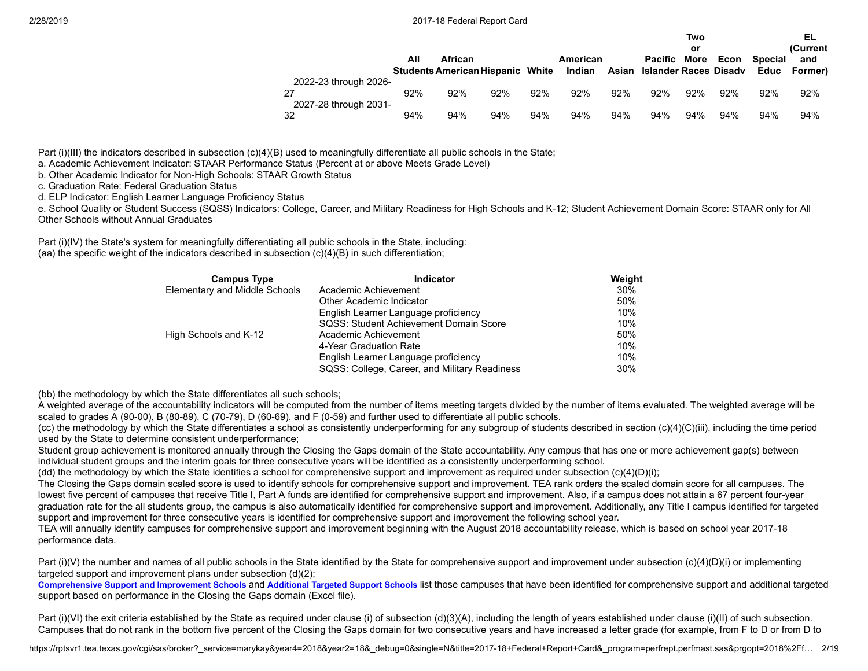|                                                      |     |                                                    |     |     |                    |     |                                        | Two<br>or |      |                | EL<br>(Current      |
|------------------------------------------------------|-----|----------------------------------------------------|-----|-----|--------------------|-----|----------------------------------------|-----------|------|----------------|---------------------|
|                                                      | All | African<br><b>Students American Hispanic White</b> |     |     | American<br>Indian |     | Pacific<br>Asian Islander Races Disadv | More      | Econ | <b>Special</b> | and<br>Educ Former) |
| 2022-23 through 2026-<br>27<br>2027-28 through 2031- | 92% | 92%                                                | 92% | 92% | 92%                | 92% | 92%                                    | 92%       | 92%  | 92%            | 92%                 |
| 32                                                   | 94% | 94%                                                | 94% | 94% | 94%                | 94% | 94%                                    | 94%       | 94%  | 94%            | 94%                 |

Part (i)(III) the indicators described in subsection (c)(4)(B) used to meaningfully differentiate all public schools in the State;

a. Academic Achievement Indicator: STAAR Performance Status (Percent at or above Meets Grade Level)

b. Other Academic Indicator for Non-High Schools: STAAR Growth Status

c. Graduation Rate: Federal Graduation Status

d. ELP Indicator: English Learner Language Proficiency Status

e. School Quality or Student Success (SQSS) Indicators: College, Career, and Military Readiness for High Schools and K-12; Student Achievement Domain Score: STAAR only for All Other Schools without Annual Graduates

Part (i)(IV) the State's system for meaningfully differentiating all public schools in the State, including: (aa) the specific weight of the indicators described in subsection (c)(4)(B) in such differentiation;

| <b>Campus Type</b>            | Indicator                                     | Weight |
|-------------------------------|-----------------------------------------------|--------|
| Elementary and Middle Schools | Academic Achievement                          | 30%    |
|                               | Other Academic Indicator                      | 50%    |
|                               | English Learner Language proficiency          | 10%    |
|                               | SQSS: Student Achievement Domain Score        | 10%    |
| High Schools and K-12         | Academic Achievement                          | 50%    |
|                               | 4-Year Graduation Rate                        | 10%    |
|                               | English Learner Language proficiency          | 10%    |
|                               | SQSS: College, Career, and Military Readiness | 30%    |

(bb) the methodology by which the State differentiates all such schools;

A weighted average of the accountability indicators will be computed from the number of items meeting targets divided by the number of items evaluated. The weighted average will be scaled to grades A (90-00), B (80-89), C (70-79), D (60-69), and F (0-59) and further used to differentiate all public schools.

(cc) the methodology by which the State differentiates a school as consistently underperforming for any subgroup of students described in section (c)(4)(C)(iii), including the time period used by the State to determine consistent underperformance;

Student group achievement is monitored annually through the Closing the Gaps domain of the State accountability. Any campus that has one or more achievement gap(s) between individual student groups and the interim goals for three consecutive years will be identified as a consistently underperforming school.

(dd) the methodology by which the State identifies a school for comprehensive support and improvement as required under subsection (c)(4)(D)(i);

The Closing the Gaps domain scaled score is used to identify schools for comprehensive support and improvement. TEA rank orders the scaled domain score for all campuses. The lowest five percent of campuses that receive Title I, Part A funds are identified for comprehensive support and improvement. Also, if a campus does not attain a 67 percent four-year graduation rate for the all students group, the campus is also automatically identified for comprehensive support and improvement. Additionally, any Title I campus identified for targeted support and improvement for three consecutive years is identified for comprehensive support and improvement the following school year.

TEA will annually identify campuses for comprehensive support and improvement beginning with the August 2018 accountability release, which is based on school year 2017-18 performance data.

Part (i)(V) the number and names of all public schools in the State identified by the State for comprehensive support and improvement under subsection (c)(4)(D)(i) or implementing targeted support and improvement plans under subsection (d)(2);

[Comprehensive](https://tea.texas.gov/WorkArea/DownloadAsset.aspx?id=51539624659) Support and Improvement Schools and [Additional](https://tea.texas.gov/WorkArea/DownloadAsset.aspx?id=51539624660) Targeted Support Schools list those campuses that have been identified for comprehensive support and additional targeted support based on performance in the Closing the Gaps domain (Excel file).

Part (i)(VI) the exit criteria established by the State as required under clause (i) of subsection (d)(3)(A), including the length of years established under clause (i)(II) of such subsection. Campuses that do not rank in the bottom five percent of the Closing the Gaps domain for two consecutive years and have increased a letter grade (for example, from F to D or from D to

https://rptsvr1.tea.texas.gov/cgi/sas/broker?\_service=marykay&year4=2018&year2=18&\_debug=0&single=N&title=2017-18+Federal+Report+Card&\_program=perfrept.perfmast.sas&prgopt=2018%2Ff... 2/19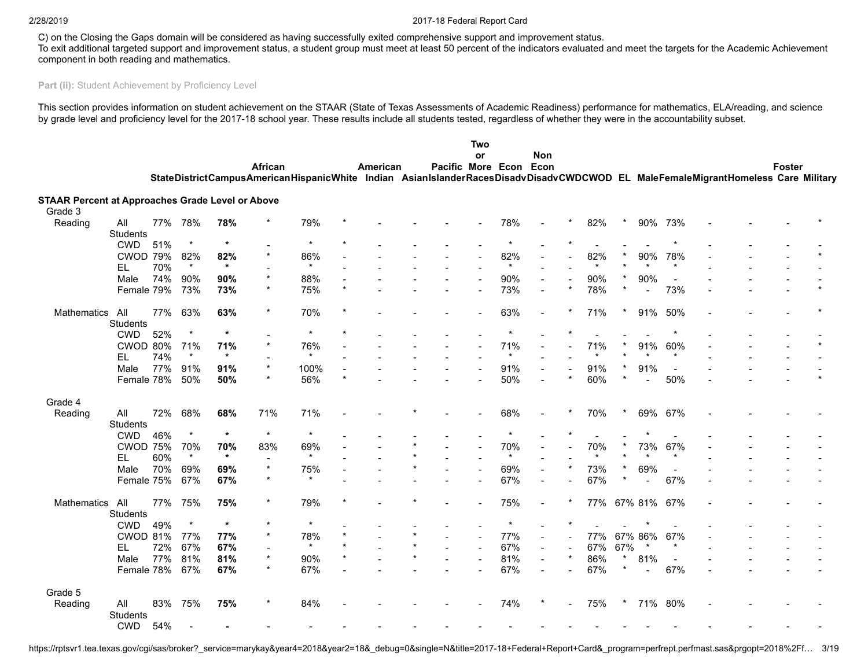C) on the Closing the Gaps domain will be considered as having successfully exited comprehensive support and improvement status.

To exit additional targeted support and improvement status, a student group must meet at least 50 percent of the indicators evaluated and meet the targets for the Academic Achievement component in both reading and mathematics.

# Part (ii): Student Achievement by Proficiency Level

This section provides information on student achievement on the STAAR (State of Texas Assessments of Academic Readiness) performance for mathematics, ELA/reading, and science by grade level and proficiency level for the 2017-18 school year. These results include all students tested, regardless of whether they were in the accountability subset.

|                                                                    |                        |     |         |         |         |                                                                                                                                  |         |          |                   | Two                      |         |                          |         |         |     |                |                          |  |        |  |
|--------------------------------------------------------------------|------------------------|-----|---------|---------|---------|----------------------------------------------------------------------------------------------------------------------------------|---------|----------|-------------------|--------------------------|---------|--------------------------|---------|---------|-----|----------------|--------------------------|--|--------|--|
|                                                                    |                        |     |         |         | African |                                                                                                                                  |         | American | Pacific More Econ | <b>or</b>                |         | <b>Non</b><br>Econ       |         |         |     |                |                          |  | Foster |  |
|                                                                    |                        |     |         |         |         | StateDistrictCampusAmericanHispanicWhite Indian AsianIslanderRacesDisadvDisadvCWDCWOD EL MaleFemaleMigrantHomeless Care Military |         |          |                   |                          |         |                          |         |         |     |                |                          |  |        |  |
|                                                                    |                        |     |         |         |         |                                                                                                                                  |         |          |                   |                          |         |                          |         |         |     |                |                          |  |        |  |
| <b>STAAR Percent at Approaches Grade Level or Above</b><br>Grade 3 |                        |     |         |         |         |                                                                                                                                  |         |          |                   |                          |         |                          |         |         |     |                |                          |  |        |  |
| Reading                                                            | All<br><b>Students</b> | 77% | 78%     | 78%     |         | 79%                                                                                                                              |         |          |                   |                          | 78%     |                          |         | 82%     |     | 90%            | 73%                      |  |        |  |
|                                                                    | <b>CWD</b>             | 51% | $\star$ | $\star$ |         | $\star$                                                                                                                          |         |          |                   |                          | $\star$ |                          |         |         |     |                |                          |  |        |  |
|                                                                    | <b>CWOD 79%</b>        |     | 82%     | 82%     |         | 86%                                                                                                                              |         |          |                   |                          | 82%     |                          |         | 82%     |     | 90%            | 78%                      |  |        |  |
|                                                                    | EL.                    | 70% | $\star$ | $\star$ |         | $\star$                                                                                                                          |         |          |                   |                          | $\star$ |                          |         | $\star$ |     |                | $\star$                  |  |        |  |
|                                                                    | Male                   | 74% | 90%     | 90%     |         | 88%                                                                                                                              |         |          |                   |                          | 90%     | $\sim$                   |         | 90%     |     | 90%            | $\overline{\phantom{a}}$ |  |        |  |
|                                                                    | Female 79%             |     | 73%     | 73%     |         | 75%                                                                                                                              | $\star$ |          |                   |                          | 73%     |                          | $\star$ | 78%     |     | $\blacksquare$ | 73%                      |  |        |  |
|                                                                    |                        |     |         |         |         |                                                                                                                                  |         |          |                   |                          |         |                          |         |         |     |                |                          |  |        |  |
| Mathematics                                                        | All<br>Students        | 77% | 63%     | 63%     | $\star$ | 70%                                                                                                                              |         |          |                   |                          | 63%     |                          |         | 71%     |     | 91%            | 50%                      |  |        |  |
|                                                                    | <b>CWD</b>             | 52% | $\star$ | $\star$ |         | $\star$                                                                                                                          | $\star$ |          |                   |                          |         |                          |         |         |     |                |                          |  |        |  |
|                                                                    | CWOD 80%               |     | 71%     | 71%     |         | 76%                                                                                                                              |         |          |                   |                          | 71%     |                          |         | 71%     |     | 91%            | 60%                      |  |        |  |
|                                                                    | EL.                    | 74% | $\star$ | $\star$ |         | $\star$                                                                                                                          |         |          |                   |                          | $\star$ |                          |         | $\star$ |     | $\star$        | $\star$                  |  |        |  |
|                                                                    | Male                   | 77% | 91%     | 91%     |         | 100%                                                                                                                             |         |          |                   |                          | 91%     |                          |         | 91%     |     | 91%            |                          |  |        |  |
|                                                                    | Female 78%             |     | 50%     | 50%     |         | 56%                                                                                                                              | $\star$ |          |                   |                          | 50%     |                          |         | 60%     |     | $\blacksquare$ | 50%                      |  |        |  |
|                                                                    |                        |     |         |         |         |                                                                                                                                  |         |          |                   |                          |         |                          |         |         |     |                |                          |  |        |  |
| Grade 4                                                            |                        |     |         |         |         |                                                                                                                                  |         |          |                   |                          |         |                          |         |         |     |                |                          |  |        |  |
| Reading                                                            | All<br>Students        | 72% | 68%     | 68%     | 71%     | 71%                                                                                                                              |         |          |                   |                          | 68%     |                          |         | 70%     |     | 69%            | 67%                      |  |        |  |
|                                                                    | <b>CWD</b>             | 46% | $\star$ | $\star$ | $\star$ | $\star$                                                                                                                          |         |          |                   |                          | $\star$ |                          |         |         |     | $\star$        |                          |  |        |  |
|                                                                    | <b>CWOD 75%</b>        |     | 70%     | 70%     | 83%     | 69%                                                                                                                              |         |          |                   | $\overline{\phantom{a}}$ | 70%     |                          |         | 70%     |     | 73%            | 67%                      |  |        |  |
|                                                                    | EL.                    | 60% | $\star$ | $\star$ |         | $\star$                                                                                                                          |         |          |                   |                          | $\star$ |                          |         | $\star$ |     |                | $\star$                  |  |        |  |
|                                                                    | Male                   | 70% | 69%     | 69%     | $\star$ | 75%                                                                                                                              |         |          |                   |                          | 69%     | $\sim$                   |         | 73%     |     | 69%            |                          |  |        |  |
|                                                                    | Female 75%             |     | 67%     | 67%     |         |                                                                                                                                  |         |          |                   |                          | 67%     |                          |         | 67%     |     |                | 67%                      |  |        |  |
| Mathematics                                                        | All                    | 77% | 75%     | 75%     |         | 79%                                                                                                                              |         |          |                   |                          | 75%     |                          |         |         |     | 77% 67% 81%    | 67%                      |  |        |  |
|                                                                    | Students               |     |         |         |         |                                                                                                                                  |         |          |                   |                          |         |                          |         |         |     |                |                          |  |        |  |
|                                                                    | <b>CWD</b>             | 49% | $\star$ | $\star$ | $\star$ | $\star$                                                                                                                          |         |          |                   |                          |         |                          |         |         |     |                |                          |  |        |  |
|                                                                    | CWOD 81%               |     | 77%     | 77%     |         | 78%                                                                                                                              |         |          |                   | $\blacksquare$           | 77%     | $\overline{\phantom{a}}$ |         | 77%     |     | 67% 86%        | 67%                      |  |        |  |
|                                                                    | EL                     | 72% | 67%     | 67%     |         | $\star$                                                                                                                          |         |          |                   | $\overline{a}$           | 67%     | $\sim$                   |         | 67%     | 67% |                | $\star$                  |  |        |  |
|                                                                    | Male                   | 77% | 81%     | 81%     | $\star$ | 90%                                                                                                                              | $\star$ |          |                   |                          | 81%     |                          | $\star$ | 86%     |     | 81%            | $\blacksquare$           |  |        |  |
|                                                                    | Female 78%             |     | 67%     | 67%     |         | 67%                                                                                                                              |         |          |                   |                          | 67%     |                          |         | 67%     |     |                | 67%                      |  |        |  |
| Grade 5                                                            |                        |     |         |         |         |                                                                                                                                  |         |          |                   |                          |         |                          |         |         |     |                |                          |  |        |  |
| Reading                                                            | All<br>Students        | 83% | 75%     | 75%     |         | 84%                                                                                                                              |         |          |                   |                          | 74%     |                          |         | 75%     |     | 71% 80%        |                          |  |        |  |
|                                                                    | <b>CWD</b>             | 54% |         |         |         |                                                                                                                                  |         |          |                   |                          |         |                          |         |         |     |                |                          |  |        |  |

https://rptsvr1.tea.texas.gov/cgi/sas/broker?\_service=marykay&year4=2018&year2=18&\_debug=0&single=N&title=2017-18+Federal+Report+Card&\_program=perfrept.perfmast.sas&prgopt=2018%2Ff… 3/19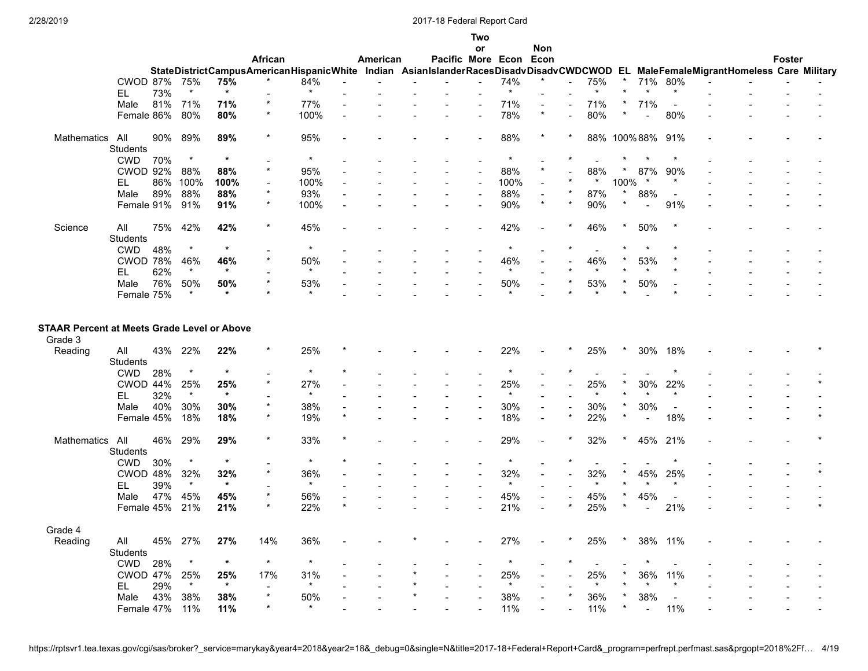|                                                               |                        |         |                |                |          |                                                                                                                                  |                           |          |                        | Two<br>or      |                | <b>Non</b>               |                          |                |          |                |                                 |  |               |  |
|---------------------------------------------------------------|------------------------|---------|----------------|----------------|----------|----------------------------------------------------------------------------------------------------------------------------------|---------------------------|----------|------------------------|----------------|----------------|--------------------------|--------------------------|----------------|----------|----------------|---------------------------------|--|---------------|--|
|                                                               |                        |         |                |                | African  |                                                                                                                                  |                           | American | Pacific More Econ Econ |                |                |                          |                          |                |          |                |                                 |  | <b>Foster</b> |  |
|                                                               |                        |         |                |                |          | StateDistrictCampusAmericanHispanicWhite Indian AsianIslanderRacesDisadvDisadvCWDCWOD EL MaleFemaleMigrantHomeless Care Military |                           |          |                        |                |                |                          |                          |                |          |                |                                 |  |               |  |
|                                                               | CWOD 87%               |         | 75%            | 75%            |          | 84%                                                                                                                              |                           |          |                        |                | 74%            |                          | $\overline{\phantom{a}}$ | 75%            | $^\star$ |                | 71% 80%                         |  |               |  |
|                                                               | EL                     | 73%     | $\star$        | $\star$        |          | $\star$                                                                                                                          |                           |          |                        |                | $\star$        |                          |                          | $\star$        |          |                | $\star$                         |  |               |  |
|                                                               | Male                   |         | 81% 71%        | 71%            | $\star$  | 77%                                                                                                                              |                           |          |                        |                | 71%            | $\overline{\phantom{a}}$ |                          | 71%            |          | 71%            | $\overline{\phantom{a}}$        |  |               |  |
|                                                               | Female 86%             |         | 80%            | 80%            | $\star$  | 100%                                                                                                                             |                           |          |                        |                | 78%            | $\star$                  |                          | 80%            |          | $\blacksquare$ | 80%                             |  |               |  |
|                                                               |                        |         |                |                |          |                                                                                                                                  |                           |          |                        |                |                |                          |                          |                |          |                |                                 |  |               |  |
| Mathematics                                                   | All                    | 90%     | 89%            | 89%            | $\ast$   | 95%                                                                                                                              |                           |          |                        |                | 88%            |                          |                          |                |          | 88% 100%88%    | 91%                             |  |               |  |
|                                                               | Students               |         |                |                |          |                                                                                                                                  |                           |          |                        |                |                |                          |                          |                |          |                |                                 |  |               |  |
|                                                               | <b>CWD</b>             | 70%     | $\star$        | $\star$        |          | $\star$                                                                                                                          |                           |          |                        |                | $\star$        |                          |                          |                |          |                |                                 |  |               |  |
|                                                               | <b>CWOD 92%</b>        |         | 88%            | 88%            | $\star$  | 95%                                                                                                                              |                           |          |                        |                | 88%            | $\star$                  |                          | 88%            |          | 87%            | 90%                             |  |               |  |
|                                                               | EL                     |         | 86% 100%       | 100%           |          | 100%                                                                                                                             |                           |          |                        |                | 100%           |                          |                          | $\star$        | 100%     | $\star$        | $^\ast$                         |  |               |  |
|                                                               | Male                   | 89%     | 88%            | 88%            |          | 93%                                                                                                                              |                           |          |                        |                | 88%            |                          |                          | 87%            |          | 88%            |                                 |  |               |  |
|                                                               | Female 91%             |         | 91%            | 91%            | $\star$  | 100%                                                                                                                             |                           |          |                        |                | 90%            | $\star$                  | $\star$                  | 90%            |          | $\blacksquare$ | 91%                             |  |               |  |
|                                                               |                        |         |                |                |          |                                                                                                                                  |                           |          |                        |                |                |                          |                          |                |          |                |                                 |  |               |  |
| Science                                                       | All                    | 75%     | 42%            | 42%            | $\star$  | 45%                                                                                                                              |                           |          |                        |                | 42%            |                          |                          | 46%            |          | 50%            |                                 |  |               |  |
|                                                               | Students               |         |                |                |          |                                                                                                                                  |                           |          |                        |                |                |                          |                          |                |          |                |                                 |  |               |  |
|                                                               | <b>CWD</b>             | 48%     |                | $\ast$         |          |                                                                                                                                  |                           |          |                        |                |                |                          |                          |                |          |                |                                 |  |               |  |
|                                                               | <b>CWOD 78%</b>        |         | 46%            | 46%            |          | 50%                                                                                                                              |                           |          |                        |                | 46%            |                          |                          | 46%            |          | 53%            |                                 |  |               |  |
|                                                               | EL.                    | 62%     | $\star$        | $\ast$         |          | $\star$                                                                                                                          |                           |          |                        |                | $\star$        |                          |                          | $\star$        |          | $\star$        |                                 |  |               |  |
|                                                               | Male                   | 76%     | 50%            | 50%            |          | 53%                                                                                                                              |                           |          |                        |                | 50%            |                          |                          | 53%            |          | 50%            |                                 |  |               |  |
|                                                               | Female 75%             |         | $\star$        | $\star$        |          | $\star$                                                                                                                          |                           |          |                        |                |                |                          |                          | $\star$        |          |                |                                 |  |               |  |
| <b>STAAR Percent at Meets Grade Level or Above</b><br>Grade 3 |                        |         |                |                |          |                                                                                                                                  |                           |          |                        |                |                |                          |                          |                |          |                |                                 |  |               |  |
| Reading                                                       | All<br><b>Students</b> |         | 43% 22%        | 22%            | *        | 25%                                                                                                                              |                           |          |                        |                | 22%            |                          |                          | 25%            |          | 30%            | 18%                             |  |               |  |
|                                                               | <b>CWD</b>             | 28%     | $\star$        | $\star$        |          | $\star$                                                                                                                          |                           |          |                        |                |                |                          |                          |                |          |                |                                 |  |               |  |
|                                                               | CWOD 44%               |         | 25%            | 25%            |          | 27%                                                                                                                              |                           |          |                        |                | 25%            |                          |                          | 25%            |          | 30%            | 22%                             |  |               |  |
|                                                               | EL                     | 32%     | $\star$        | $\star$        |          | $\star$                                                                                                                          |                           |          |                        |                | $\star$        |                          |                          | $\star$        |          |                | $\star$                         |  |               |  |
|                                                               |                        |         |                |                |          |                                                                                                                                  |                           |          |                        |                |                |                          |                          |                |          |                |                                 |  |               |  |
|                                                               | Male                   | 40%     | 30%            | 30%            |          | 38%                                                                                                                              | $\overline{a}$<br>$\star$ |          |                        |                | 30%            | $\blacksquare$           |                          | 30%            |          | 30%            | $\overline{\phantom{a}}$<br>18% |  |               |  |
|                                                               | Female 45%             |         | 18%            | 18%            |          | 19%                                                                                                                              |                           |          |                        |                | 18%            |                          |                          | 22%            |          |                |                                 |  |               |  |
| Mathematics All                                               | Students               | 46%     | 29%            | 29%            | $\star$  | 33%                                                                                                                              |                           |          |                        |                | 29%            |                          |                          | 32%            |          |                | 45% 21%                         |  |               |  |
|                                                               | <b>CWD</b>             | 30%     | $\star$        | $\ast$         |          | $\star$                                                                                                                          |                           |          |                        |                | $\star$        |                          |                          |                |          |                |                                 |  |               |  |
|                                                               | CWOD 48%               |         |                |                |          |                                                                                                                                  |                           |          |                        |                |                |                          |                          |                |          |                |                                 |  |               |  |
|                                                               |                        |         | 32%<br>$\star$ | 32%<br>$\star$ |          | 36%<br>$\star$                                                                                                                   |                           |          |                        |                | 32%<br>$\star$ |                          |                          | 32%<br>$\star$ |          | 45%            | 25%<br>$\star$                  |  |               |  |
|                                                               | EL                     | 39%     |                |                |          |                                                                                                                                  |                           |          |                        |                |                |                          |                          |                |          |                |                                 |  |               |  |
|                                                               | Male                   | 47%     | 45%            | 45%            |          | 56%                                                                                                                              | $\star$                   |          |                        |                | 45%            |                          |                          | 45%            |          | 45%            |                                 |  |               |  |
|                                                               | Female 45%             |         | 21%            | 21%            |          | 22%                                                                                                                              |                           |          |                        |                | 21%            |                          |                          | 25%            |          | $\blacksquare$ | 21%                             |  |               |  |
|                                                               |                        |         |                |                |          |                                                                                                                                  |                           |          |                        |                |                |                          |                          |                |          |                |                                 |  |               |  |
| Grade 4                                                       |                        |         |                |                |          |                                                                                                                                  |                           |          |                        |                |                |                          |                          |                |          |                |                                 |  |               |  |
| Reading                                                       | All                    |         | 45% 27%        | 27%            | 14%      | 36%                                                                                                                              |                           |          |                        | $\blacksquare$ | 27%            |                          | $\ast$                   | 25%            | $\star$  |                | 38% 11%                         |  |               |  |
|                                                               | Students               |         |                |                |          |                                                                                                                                  |                           |          |                        |                |                |                          |                          |                |          |                |                                 |  |               |  |
|                                                               | CWD                    | 28%     | $\star$        | $\star$        | $\star$  | $\star$                                                                                                                          |                           |          |                        |                | $\star$        |                          |                          | $\sim$         |          | $\star$        |                                 |  |               |  |
|                                                               | CWOD 47%               |         | 25%            | 25%            | 17%      | 31%                                                                                                                              |                           |          |                        | $\overline{a}$ | 25%            |                          |                          | 25%            |          | 36%            | 11%                             |  |               |  |
|                                                               | EL                     | 29%     | $\star$        | $\ast$         |          | $\star$                                                                                                                          |                           |          |                        |                | $\star$        |                          |                          | $\star$        |          | $\star$        | $\star$                         |  |               |  |
|                                                               | Male                   | 43% 38% |                | 38%            | $^\star$ | 50%                                                                                                                              |                           |          |                        |                | 38%            |                          |                          | 36%            |          | 38%            | $\sim$                          |  |               |  |
|                                                               | Female 47% 11%         |         |                | 11%            |          | $\star$                                                                                                                          |                           |          |                        |                | 11%            |                          |                          | 11%            |          | $\sim$         | 11%                             |  |               |  |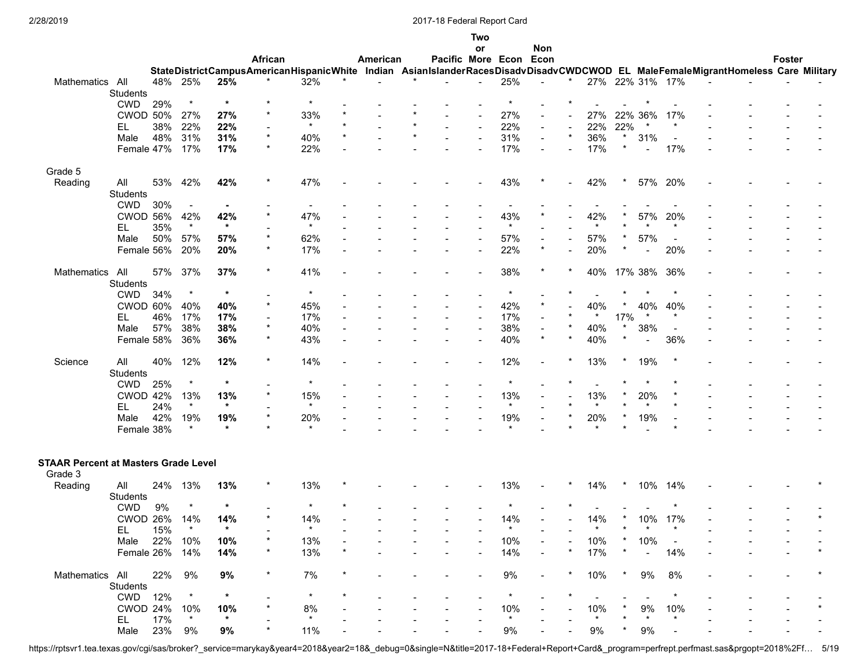|                                             |                       |            |                |               |          |                                                                                                                                  |          |                        | Two                      |                |                          |         |                |         |                 |                          |  |               |  |
|---------------------------------------------|-----------------------|------------|----------------|---------------|----------|----------------------------------------------------------------------------------------------------------------------------------|----------|------------------------|--------------------------|----------------|--------------------------|---------|----------------|---------|-----------------|--------------------------|--|---------------|--|
|                                             |                       |            |                |               |          |                                                                                                                                  |          |                        | or                       |                | Non                      |         |                |         |                 |                          |  |               |  |
|                                             |                       |            |                |               | African  |                                                                                                                                  | American | Pacific More Econ Econ |                          |                |                          |         |                |         |                 |                          |  | <b>Foster</b> |  |
|                                             |                       |            |                |               |          | StateDistrictCampusAmericanHispanicWhite Indian AsianIslanderRacesDisadvDisadvCWDCWOD EL MaleFemaleMigrantHomeless Care Military |          |                        |                          |                |                          |         |                |         |                 |                          |  |               |  |
| Mathematics All                             |                       |            | 48% 25%        | 25%           |          | 32%                                                                                                                              |          |                        |                          | 25%            |                          |         |                |         | 27% 22% 31% 17% |                          |  |               |  |
|                                             | Students              |            |                |               |          |                                                                                                                                  |          |                        |                          |                |                          |         |                |         |                 |                          |  |               |  |
|                                             | <b>CWD</b>            | 29%        | $\star$        | $\ast$        |          | $\star$                                                                                                                          |          |                        |                          |                |                          |         |                |         |                 |                          |  |               |  |
|                                             | <b>CWOD 50%</b>       |            | 27%            | 27%           |          | 33%                                                                                                                              |          |                        |                          | 27%            |                          |         | 27%            | 22% 36% |                 | 17%                      |  |               |  |
|                                             | EL                    | 38%        | 22%            | 22%           |          | $\star$                                                                                                                          |          |                        | $\overline{\phantom{a}}$ | 22%            |                          |         | 22%            | 22%     |                 | $\star$                  |  |               |  |
|                                             | Male                  | 48%        | 31%            | 31%           | $\star$  | 40%                                                                                                                              |          |                        |                          | 31%            |                          | $\star$ | 36%            |         | 31%             |                          |  |               |  |
|                                             | Female 47%            |            | 17%            | 17%           |          | 22%                                                                                                                              |          |                        |                          | 17%            |                          |         | 17%            |         | $\overline{a}$  | 17%                      |  |               |  |
|                                             |                       |            |                |               |          |                                                                                                                                  |          |                        |                          |                |                          |         |                |         |                 |                          |  |               |  |
| Grade 5                                     |                       |            |                |               | $^\star$ |                                                                                                                                  |          |                        |                          |                |                          |         |                |         |                 |                          |  |               |  |
| Reading                                     | All                   | 53%        | 42%            | 42%           |          | 47%                                                                                                                              |          |                        |                          | 43%            |                          |         | 42%            |         | 57% 20%         |                          |  |               |  |
|                                             | <b>Students</b>       |            |                |               |          |                                                                                                                                  |          |                        |                          |                |                          |         |                |         |                 |                          |  |               |  |
|                                             | <b>CWD</b>            | 30%        | $\blacksquare$ |               |          |                                                                                                                                  |          |                        |                          |                |                          |         |                |         |                 |                          |  |               |  |
|                                             | CWOD 56%              |            | 42%<br>$\star$ | 42%<br>$\ast$ |          | 47%<br>$\star$                                                                                                                   |          |                        |                          | 43%<br>$\star$ |                          |         | 42%<br>$\star$ |         | 57%             | 20%<br>$\star$           |  |               |  |
|                                             | EL                    | 35%        |                |               |          |                                                                                                                                  |          |                        |                          |                |                          |         |                |         |                 |                          |  |               |  |
|                                             | Male                  | 50%        | 57%            | 57%           |          | 62%                                                                                                                              |          |                        |                          | 57%            | $\overline{\phantom{a}}$ |         | 57%            |         | 57%             | $\overline{\phantom{a}}$ |  |               |  |
|                                             | Female 56%            |            | 20%            | 20%           |          | 17%                                                                                                                              |          |                        |                          | 22%            |                          |         | 20%            |         | $\blacksquare$  | 20%                      |  |               |  |
|                                             |                       |            |                |               |          |                                                                                                                                  |          |                        |                          |                |                          |         |                |         |                 |                          |  |               |  |
| Mathematics                                 | All                   | 57%        | 37%            | 37%           |          | 41%                                                                                                                              |          |                        |                          | 38%            |                          |         | 40%            |         | 17% 38%         | 36%                      |  |               |  |
|                                             | Students              |            | $\star$        | $\star$       |          | $\star$                                                                                                                          |          |                        |                          | $^\star$       |                          |         |                |         |                 |                          |  |               |  |
|                                             | <b>CWD</b>            | 34%        |                |               |          |                                                                                                                                  |          |                        |                          |                |                          |         |                |         |                 |                          |  |               |  |
|                                             | CWOD 60%              |            | 40%            | 40%           |          | 45%                                                                                                                              |          |                        |                          | 42%            |                          |         | 40%<br>$\star$ |         | 40%<br>$\star$  | 40%<br>$^\ast$           |  |               |  |
|                                             | EL                    | 46%        | 17%            | 17%           | $\star$  | 17%                                                                                                                              |          |                        |                          | 17%            |                          |         |                | 17%     |                 |                          |  |               |  |
|                                             | Male                  | 57%        | 38%            | 38%           | $\ast$   | 40%                                                                                                                              |          |                        |                          | 38%            | $\star$                  | $\star$ | 40%            |         | 38%             | $\overline{\phantom{a}}$ |  |               |  |
|                                             | Female 58%            |            | 36%            | 36%           |          | 43%                                                                                                                              |          |                        |                          | 40%            |                          |         | 40%            |         | $\overline{a}$  | 36%                      |  |               |  |
|                                             |                       |            |                |               | $\star$  |                                                                                                                                  |          |                        |                          |                |                          |         |                |         |                 |                          |  |               |  |
| Science                                     | All                   | 40%        | 12%            | 12%           |          | 14%                                                                                                                              |          |                        |                          | 12%            |                          |         | 13%            |         | 19%             |                          |  |               |  |
|                                             | Students              |            | $\ast$         | $\star$       |          | $\star$                                                                                                                          |          |                        |                          |                |                          |         |                |         |                 |                          |  |               |  |
|                                             | <b>CWD</b>            | 25%        |                |               |          |                                                                                                                                  |          |                        |                          |                |                          |         |                |         |                 |                          |  |               |  |
|                                             | <b>CWOD 42%</b><br>EL |            | 13%<br>$\star$ | 13%<br>$\ast$ |          | 15%<br>$\star$                                                                                                                   |          |                        |                          | 13%<br>$\star$ |                          |         | 13%<br>$\star$ |         | 20%<br>$\star$  |                          |  |               |  |
|                                             |                       | 24%<br>42% |                |               |          |                                                                                                                                  |          |                        |                          | 19%            |                          |         |                |         | 19%             |                          |  |               |  |
|                                             | Male                  |            | 19%<br>$\star$ | 19%<br>$\ast$ |          | 20%<br>$\star$                                                                                                                   |          |                        |                          |                |                          |         | 20%            |         |                 |                          |  |               |  |
|                                             | Female 38%            |            |                |               |          |                                                                                                                                  |          |                        |                          |                |                          |         |                |         |                 |                          |  |               |  |
|                                             |                       |            |                |               |          |                                                                                                                                  |          |                        |                          |                |                          |         |                |         |                 |                          |  |               |  |
| <b>STAAR Percent at Masters Grade Level</b> |                       |            |                |               |          |                                                                                                                                  |          |                        |                          |                |                          |         |                |         |                 |                          |  |               |  |
| Grade 3                                     |                       |            |                |               |          |                                                                                                                                  |          |                        |                          |                |                          |         |                |         |                 |                          |  |               |  |
| Reading                                     | All                   |            | 24% 13%        | 13%           |          | 13%                                                                                                                              |          |                        |                          | 13%            |                          |         | 14%            |         | 10%             | 14%                      |  |               |  |
|                                             | Students              |            |                |               |          |                                                                                                                                  |          |                        |                          |                |                          |         |                |         |                 |                          |  |               |  |
|                                             | <b>CWD</b>            | 9%         |                | $\ast$        |          |                                                                                                                                  |          |                        |                          |                |                          |         |                |         |                 |                          |  |               |  |
|                                             | CWOD 26%              |            | 14%            | 14%           |          | 14%                                                                                                                              |          |                        |                          | 14%            |                          |         | 14%            |         | 10%             | 17%                      |  |               |  |
|                                             | EL                    | 15%        | $^\star$       | $\star$       |          | $\ast$                                                                                                                           |          |                        |                          |                |                          |         |                |         |                 |                          |  |               |  |
|                                             | Male                  |            | 22% 10%        | 10%           |          | 13%                                                                                                                              |          |                        |                          | 10%            |                          |         | 10%            |         | 10%             |                          |  |               |  |
|                                             | Female 26% 14%        |            |                | 14%           |          | 13%                                                                                                                              |          |                        |                          | 14%            |                          |         | 17%            |         | $\blacksquare$  | 14%                      |  |               |  |
|                                             |                       |            |                |               |          |                                                                                                                                  |          |                        |                          |                |                          |         |                |         |                 |                          |  |               |  |
| Mathematics All                             |                       | 22%        | 9%             | 9%            | $\star$  | 7%                                                                                                                               |          |                        |                          | $9\%$          |                          |         | 10%            |         | 9%              | 8%                       |  |               |  |
|                                             | Students              |            |                |               |          |                                                                                                                                  |          |                        |                          |                |                          |         |                |         |                 |                          |  |               |  |
|                                             | CWD 12%               |            | $^\star$       | $\ast$        |          | $\star$                                                                                                                          |          |                        |                          | $^\star$       |                          |         | $\blacksquare$ |         |                 | $\star$                  |  |               |  |
|                                             | CWOD 24% 10%          |            |                | 10%           |          | 8%                                                                                                                               |          |                        |                          | 10%            |                          |         | 10%            |         | 9%              | 10%                      |  |               |  |
|                                             | EL                    | 17%        | $\star$        | $\star$       |          | $\star$                                                                                                                          |          |                        |                          | $\star$        |                          |         |                |         |                 |                          |  |               |  |
|                                             | Male                  | 23% 9%     |                | 9%            |          | 11%                                                                                                                              |          |                        |                          | $9\%$          |                          |         | 9%             |         | 9%              |                          |  |               |  |
|                                             |                       |            |                |               |          |                                                                                                                                  |          |                        |                          |                |                          |         |                |         |                 |                          |  |               |  |

https://rptsvr1.tea.texas.gov/cgi/sas/broker?\_service=marykay&year4=2018&year2=18&\_debug=0&single=N&title=2017-18+Federal+Report+Card&\_program=perfrept.perfmast.sas&prgopt=2018%2Ff… 5/19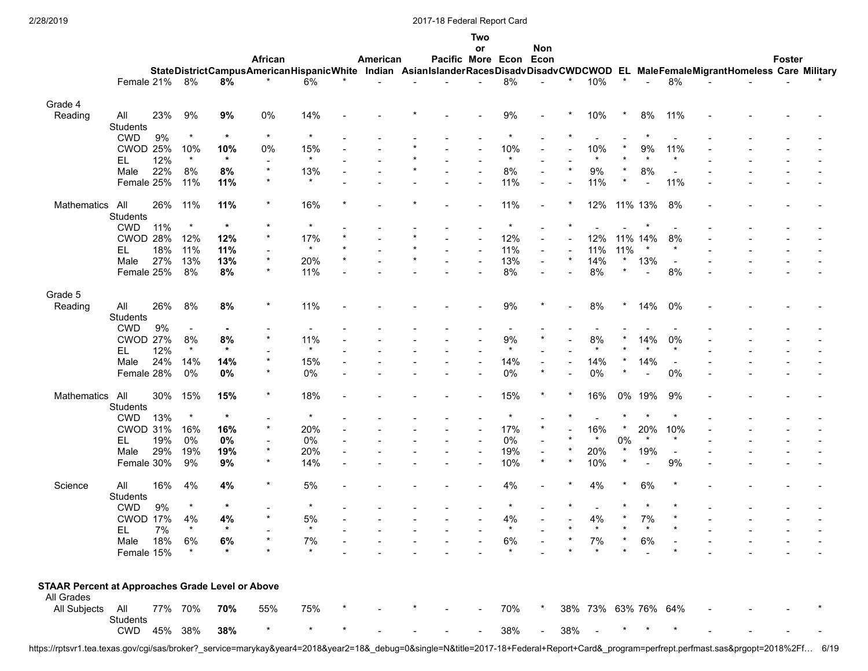|                                                         |                 |         |                |                |                                                                                                                                  |                |          |                        | Two |                          |                |          |                          |         |                          |                          |  |        |  |
|---------------------------------------------------------|-----------------|---------|----------------|----------------|----------------------------------------------------------------------------------------------------------------------------------|----------------|----------|------------------------|-----|--------------------------|----------------|----------|--------------------------|---------|--------------------------|--------------------------|--|--------|--|
|                                                         |                 |         |                |                | African                                                                                                                          |                | American | Pacific More Econ Econ | or  |                          | Non            |          |                          |         |                          |                          |  | Foster |  |
|                                                         |                 |         |                |                | StateDistrictCampusAmericanHispanicWhite Indian AsianIslanderRacesDisadvDisadvCWDCWOD EL MaleFemaleMigrantHomeless Care Military |                |          |                        |     |                          |                |          |                          |         |                          |                          |  |        |  |
|                                                         | Female 21%      |         | 8%             | 8%             | $^\ast$                                                                                                                          | 6%             |          |                        |     | $8\%$                    | $\overline{a}$ | $^\star$ | 10%                      | $\star$ | $\overline{\phantom{a}}$ | 8%                       |  |        |  |
|                                                         |                 |         |                |                |                                                                                                                                  |                |          |                        |     |                          |                |          |                          |         |                          |                          |  |        |  |
| Grade 4                                                 |                 |         |                |                |                                                                                                                                  |                |          |                        |     |                          |                |          |                          |         |                          |                          |  |        |  |
| Reading                                                 | All             | 23%     | 9%             | 9%             | 0%                                                                                                                               | 14%            |          |                        |     | 9%                       |                | $\ast$   | 10%                      | $\star$ | 8%                       | 11%                      |  |        |  |
|                                                         | Students        |         |                |                |                                                                                                                                  |                |          |                        |     |                          |                |          |                          |         |                          |                          |  |        |  |
|                                                         | <b>CWD</b>      | 9%      | $^\star$       | $\ast$         | $\star$                                                                                                                          | $^{\star}$     |          |                        |     |                          |                |          | $\overline{\phantom{0}}$ |         |                          |                          |  |        |  |
|                                                         | <b>CWOD 25%</b> |         | 10%            | 10%            | 0%                                                                                                                               | 15%            |          |                        |     | 10%                      |                |          | 10%                      |         | 9%                       | 11%                      |  |        |  |
|                                                         | EL              | 12%     | $\star$        | $\star$        |                                                                                                                                  | $^\star$       |          |                        |     | $\star$                  |                |          | $\star$                  |         |                          |                          |  |        |  |
|                                                         | Male            | 22%     | 8%             | 8%             | $\star$                                                                                                                          | 13%            |          |                        |     | 8%                       |                |          | 9%                       |         | 8%                       | $\overline{\phantom{a}}$ |  |        |  |
|                                                         | Female 25%      |         | 11%            | 11%            | $\star$                                                                                                                          | $\star$        |          |                        |     | 11%                      |                |          | 11%                      |         |                          | 11%                      |  |        |  |
| Mathematics                                             | All             | 26%     | 11%            | 11%            | $\ast$                                                                                                                           | 16%            |          |                        |     | 11%                      | $\blacksquare$ |          | 12%                      |         | 11% 13%                  | 8%                       |  |        |  |
|                                                         | Students        |         |                |                |                                                                                                                                  |                |          |                        |     |                          |                |          |                          |         |                          |                          |  |        |  |
|                                                         | <b>CWD</b>      | 11%     | $\star$        | $\star$        | $^\star$                                                                                                                         | $^\ast$        |          |                        |     | $\star$                  |                |          |                          |         |                          |                          |  |        |  |
|                                                         | <b>CWOD 28%</b> |         | 12%            | 12%            | $\star$                                                                                                                          | 17%            |          |                        |     | 12%                      | $\blacksquare$ |          | 12%                      |         | 11% 14%                  | 8%                       |  |        |  |
|                                                         | EL              | 18%     | 11%            | 11%            |                                                                                                                                  | $\star$        |          |                        |     | 11%                      | $\sim$         |          | 11%                      | 11%     | $\star$                  | $\ast$                   |  |        |  |
|                                                         | Male            | 27%     | 13%            | 13%            | $\star$                                                                                                                          | 20%            |          |                        |     | 13%                      | $\sim$         | $\star$  | 14%                      | $\star$ | 13%                      |                          |  |        |  |
|                                                         | Female 25%      |         | 8%             | 8%             | $\star$                                                                                                                          | 11%            |          |                        |     | 8%                       |                |          | 8%                       | $\star$ | $\sim$                   | $\sim$<br>8%             |  |        |  |
|                                                         |                 |         |                |                |                                                                                                                                  |                |          |                        |     |                          |                |          |                          |         |                          |                          |  |        |  |
| Grade 5                                                 |                 |         |                |                |                                                                                                                                  |                |          |                        |     |                          |                |          |                          |         |                          |                          |  |        |  |
| Reading                                                 | All             | 26%     | 8%             | 8%             | $\star$                                                                                                                          | 11%            |          |                        |     | 9%                       |                |          | 8%                       |         | 14%                      | 0%                       |  |        |  |
|                                                         | Students        |         |                |                |                                                                                                                                  |                |          |                        |     |                          |                |          |                          |         |                          |                          |  |        |  |
|                                                         | <b>CWD</b>      | 9%      | $\blacksquare$ | $\blacksquare$ |                                                                                                                                  | $\blacksquare$ |          |                        |     | $\overline{\phantom{a}}$ |                |          |                          |         |                          |                          |  |        |  |
|                                                         | <b>CWOD 27%</b> |         | 8%             | 8%             |                                                                                                                                  | 11%            |          |                        |     | 9%                       |                |          | 8%                       |         | 14%                      | 0%                       |  |        |  |
|                                                         | EL.             | 12%     | $\star$        | $\star$        |                                                                                                                                  | $\star$        |          |                        |     | $\star$                  |                |          | $\star$                  |         |                          |                          |  |        |  |
|                                                         | Male            | 24%     | 14%            | 14%            | $\star$                                                                                                                          | 15%            |          |                        |     | 14%                      |                |          | 14%                      |         | 14%                      | $\overline{\phantom{a}}$ |  |        |  |
|                                                         | Female 28%      |         | 0%             | $0\%$          |                                                                                                                                  | 0%             |          |                        |     | $0\%$                    | $\star$        |          | 0%                       |         |                          | 0%                       |  |        |  |
|                                                         |                 |         |                |                |                                                                                                                                  |                |          |                        |     |                          |                |          |                          |         |                          |                          |  |        |  |
| <b>Mathematics</b>                                      | All             | 30%     | 15%            | 15%            | $^\star$                                                                                                                         | 18%            |          |                        |     | 15%                      |                |          | 16%                      | 0%      | 19%                      | 9%                       |  |        |  |
|                                                         | Students        |         |                |                |                                                                                                                                  |                |          |                        |     |                          |                |          |                          |         |                          |                          |  |        |  |
|                                                         | <b>CWD</b>      | 13%     | $\star$        | $\ast$         |                                                                                                                                  | $\star$        |          |                        |     | $\star$                  |                |          |                          |         | $\star$                  | $\star$                  |  |        |  |
|                                                         | <b>CWOD 31%</b> |         | 16%            | 16%            | $\star$                                                                                                                          | 20%            |          |                        |     | 17%                      | $\star$        |          | 16%                      |         | 20%                      | 10%                      |  |        |  |
|                                                         | EL.             | 19%     | 0%             | $0\%$          |                                                                                                                                  | 0%             |          |                        |     | $0\%$                    |                |          | $\ast$                   | 0%      | $\star$                  | $\star$                  |  |        |  |
|                                                         | Male            | 29%     | 19%            | 19%            | $\star$                                                                                                                          | 20%            |          |                        |     | 19%                      | $\blacksquare$ |          | 20%                      |         | 19%                      | $\overline{\phantom{a}}$ |  |        |  |
|                                                         | Female 30%      |         | 9%             | 9%             | $^\star$                                                                                                                         | 14%            |          |                        |     | 10%                      | $\star$        |          | 10%                      |         | $\blacksquare$           | 9%                       |  |        |  |
|                                                         |                 |         |                |                |                                                                                                                                  |                |          |                        |     |                          |                |          |                          |         |                          |                          |  |        |  |
| Science                                                 | All             | 16%     | 4%             | 4%             |                                                                                                                                  | 5%             |          |                        |     | 4%                       |                |          | 4%                       |         | 6%                       |                          |  |        |  |
|                                                         | Students        |         |                |                |                                                                                                                                  |                |          |                        |     |                          |                |          |                          |         |                          |                          |  |        |  |
|                                                         | <b>CWD</b>      | 9%      | $\ast$         | $\ast$         |                                                                                                                                  | $\star$        |          |                        |     |                          |                |          |                          |         |                          |                          |  |        |  |
|                                                         | CWOD 17%        |         | 4%             | 4%             | $\star$                                                                                                                          | 5%             |          |                        |     | 4%                       |                |          | 4%                       |         | 7%                       |                          |  |        |  |
|                                                         | EL              | $7\%$   | $\star$        | $\star$        |                                                                                                                                  | $\star$        |          |                        |     | $\star$                  |                |          |                          |         | $\star$                  |                          |  |        |  |
|                                                         | Male            | 18%     | 6%             | 6%             |                                                                                                                                  | 7%             |          |                        |     | 6%                       |                |          | 7%                       |         | 6%                       |                          |  |        |  |
|                                                         | Female 15%      |         | $\ast$         | *              |                                                                                                                                  | $\star$        |          |                        |     | $\star$                  |                |          |                          |         |                          |                          |  |        |  |
|                                                         |                 |         |                |                |                                                                                                                                  |                |          |                        |     |                          |                |          |                          |         |                          |                          |  |        |  |
| <b>STAAR Percent at Approaches Grade Level or Above</b> |                 |         |                |                |                                                                                                                                  |                |          |                        |     |                          |                |          |                          |         |                          |                          |  |        |  |
| All Grades                                              |                 |         |                |                |                                                                                                                                  |                |          |                        |     |                          |                |          |                          |         |                          |                          |  |        |  |
| All Subjects                                            | All             | 77% 70% |                | 70%            | 55%                                                                                                                              | 75%            |          |                        |     | 70%                      |                |          | 38% 73% 63% 76% 64%      |         |                          |                          |  |        |  |
|                                                         | Students        |         |                |                |                                                                                                                                  |                |          |                        |     |                          |                |          |                          |         |                          |                          |  |        |  |
|                                                         | CWD             | 45% 38% |                | 38%            |                                                                                                                                  |                |          |                        |     | 38%                      |                | 38%      |                          |         |                          |                          |  |        |  |

https://rptsvr1.tea.texas.gov/cgi/sas/broker?\_service=marykay&year4=2018&year2=18&\_debug=0&single=N&title=2017-18+Federal+Report+Card&\_program=perfrept.perfmast.sas&prgopt=2018%2Ff… 6/19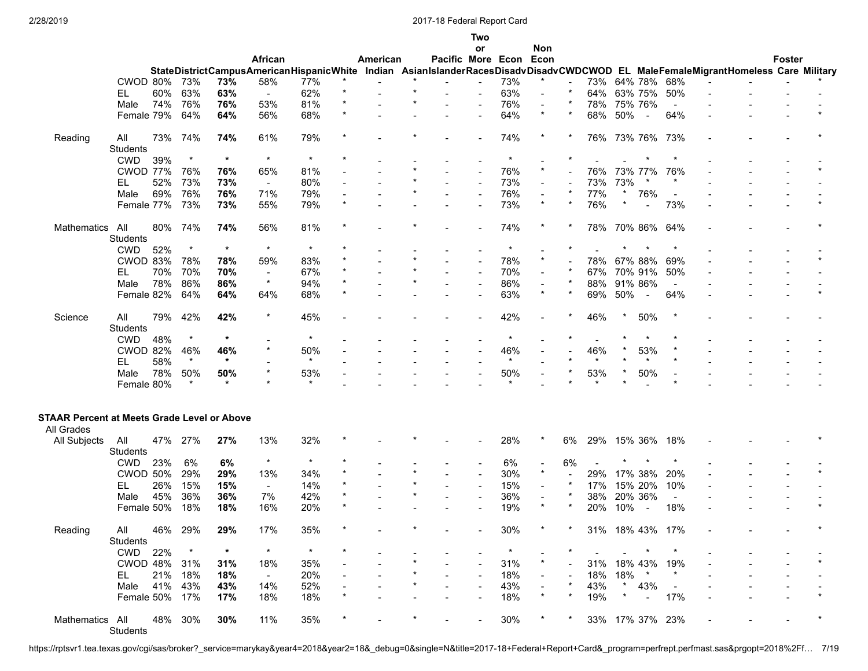|                                                    |                        |     |          |         |              |                                          |         |          |                                                                                                                   | Two            |          |                          |         |             |         |                          |                          |  |               |  |
|----------------------------------------------------|------------------------|-----|----------|---------|--------------|------------------------------------------|---------|----------|-------------------------------------------------------------------------------------------------------------------|----------------|----------|--------------------------|---------|-------------|---------|--------------------------|--------------------------|--|---------------|--|
|                                                    |                        |     |          |         |              |                                          |         |          |                                                                                                                   | or             |          | Non                      |         |             |         |                          |                          |  |               |  |
|                                                    |                        |     |          |         | African      | StateDistrictCampusAmericanHispanicWhite |         | American | Pacific More Econ Econ<br>Indian AsianIslanderRacesDisadvDisadvCWDCWOD EL MaleFemaleMigrantHomeless Care Military |                |          |                          |         |             |         |                          |                          |  | <b>Foster</b> |  |
|                                                    | CWOD 80%               |     | 73%      | 73%     | 58%          | 77%                                      |         |          |                                                                                                                   |                | 73%      | $\star$                  |         | 73%         |         | 64% 78%                  | 68%                      |  |               |  |
|                                                    | EL.                    | 60% | 63%      | 63%     | $\mathbf{r}$ | 62%                                      | $\star$ |          |                                                                                                                   |                | 63%      | $\blacksquare$           | $\star$ | 64%         |         | 63% 75%                  | 50%                      |  |               |  |
|                                                    | Male                   | 74% | 76%      | 76%     | 53%          | 81%                                      |         |          |                                                                                                                   | $\overline{a}$ | 76%      | $\blacksquare$           |         | 78%         |         | 75% 76%                  | $\ddot{\phantom{1}}$     |  |               |  |
|                                                    | Female 79%             |     | 64%      | 64%     | 56%          | 68%                                      | $\star$ |          |                                                                                                                   |                | 64%      | $\star$                  | $\star$ | 68%         | 50%     | $\overline{\phantom{a}}$ | 64%                      |  |               |  |
|                                                    |                        |     |          |         |              |                                          |         |          |                                                                                                                   |                |          |                          |         |             |         |                          |                          |  |               |  |
| Reading                                            | All                    | 73% | 74%      | 74%     | 61%          | 79%                                      |         |          |                                                                                                                   |                | 74%      |                          |         | 76% 73% 76% |         |                          | 73%                      |  |               |  |
|                                                    | <b>Students</b>        |     |          |         |              |                                          |         |          |                                                                                                                   |                |          |                          |         |             |         |                          |                          |  |               |  |
|                                                    | <b>CWD</b>             | 39% | $\star$  | $\star$ | $\star$      | $\star$                                  |         |          |                                                                                                                   |                | $\star$  |                          |         |             |         |                          |                          |  |               |  |
|                                                    | <b>CWOD 77%</b>        |     | 76%      | 76%     | 65%          | 81%                                      |         |          |                                                                                                                   |                | 76%      | $\star$                  |         | 76%         |         | 73% 77%                  | 76%                      |  |               |  |
|                                                    | EL                     | 52% | 73%      | 73%     | $\sim$       | 80%                                      |         |          |                                                                                                                   | $\overline{a}$ | 73%      | $\blacksquare$           |         | 73%         | 73%     |                          |                          |  |               |  |
|                                                    | Male                   | 69% | 76%      | 76%     | 71%          | 79%                                      |         |          |                                                                                                                   |                | 76%      |                          |         | 77%         |         | 76%                      |                          |  |               |  |
|                                                    | Female 77%             |     | 73%      | 73%     | 55%          | 79%                                      | $\star$ |          |                                                                                                                   |                | 73%      | $\star$                  | $\star$ | 76%         | $\ast$  | $\sim$                   | 73%                      |  |               |  |
|                                                    |                        |     |          |         |              |                                          |         |          |                                                                                                                   |                |          |                          |         |             |         |                          |                          |  |               |  |
| Mathematics                                        | All                    | 80% | 74%      | 74%     | 56%          | 81%                                      |         |          |                                                                                                                   |                | 74%      |                          |         | 78%         |         | 70% 86%                  | 64%                      |  |               |  |
|                                                    | <b>Students</b>        |     |          |         |              |                                          |         |          |                                                                                                                   |                |          |                          |         |             |         |                          |                          |  |               |  |
|                                                    | <b>CWD</b>             | 52% | $\star$  | $\star$ | $\star$      | $\star$                                  |         |          |                                                                                                                   |                |          |                          |         |             |         |                          |                          |  |               |  |
|                                                    | CWOD 83%               |     | 78%      | 78%     | 59%          | 83%                                      |         |          |                                                                                                                   |                | 78%      | $\star$                  |         | 78%         |         | 67% 88%                  | 69%                      |  |               |  |
|                                                    | EL                     | 70% | 70%      | 70%     | $\sim$       | 67%                                      |         |          |                                                                                                                   |                | 70%      |                          |         | 67%         |         | 70% 91%                  | 50%                      |  |               |  |
|                                                    | Male                   | 78% | 86%      | 86%     | $\star$      | 94%                                      |         |          |                                                                                                                   |                | 86%      | $\blacksquare$           |         | 88%         |         | 91% 86%                  | $\blacksquare$           |  |               |  |
|                                                    | Female 82%             |     | 64%      | 64%     | 64%          | 68%                                      |         |          |                                                                                                                   | $\blacksquare$ | 63%      |                          |         | 69%         | 50%     | $\overline{\phantom{a}}$ | 64%                      |  |               |  |
|                                                    |                        |     |          |         |              |                                          |         |          |                                                                                                                   |                |          |                          |         |             |         |                          |                          |  |               |  |
| Science                                            | All                    | 79% | 42%      | 42%     | $\star$      | 45%                                      |         |          |                                                                                                                   |                | 42%      |                          |         | 46%         |         | 50%                      |                          |  |               |  |
|                                                    | <b>Students</b>        |     |          |         |              |                                          |         |          |                                                                                                                   |                |          |                          |         |             |         |                          |                          |  |               |  |
|                                                    | <b>CWD</b>             | 48% | $\star$  | $\star$ |              | $\star$                                  |         |          |                                                                                                                   |                | $\star$  |                          |         |             |         |                          |                          |  |               |  |
|                                                    | <b>CWOD 82%</b>        |     | 46%      | 46%     |              | 50%                                      |         |          |                                                                                                                   |                | 46%      |                          |         | 46%         |         | 53%                      |                          |  |               |  |
|                                                    | EL.                    | 58% | $\star$  | $\ast$  |              | $\star$                                  |         |          |                                                                                                                   |                | $\star$  |                          |         | $\star$     |         | $\star$                  |                          |  |               |  |
|                                                    | Male                   | 78% | 50%      | 50%     |              | 53%                                      |         |          |                                                                                                                   |                | 50%      |                          |         | 53%         |         | 50%                      |                          |  |               |  |
|                                                    | Female 80%             |     | $\star$  | $\star$ |              |                                          |         |          |                                                                                                                   |                |          |                          |         |             |         |                          |                          |  |               |  |
|                                                    |                        |     |          |         |              |                                          |         |          |                                                                                                                   |                |          |                          |         |             |         |                          |                          |  |               |  |
| <b>STAAR Percent at Meets Grade Level or Above</b> |                        |     |          |         |              |                                          |         |          |                                                                                                                   |                |          |                          |         |             |         |                          |                          |  |               |  |
| All Grades                                         |                        |     | 27%      | 27%     | 13%          | 32%                                      |         |          |                                                                                                                   |                | 28%      |                          | 6%      | 29%         |         |                          | 18%                      |  |               |  |
| All Subjects                                       | All<br><b>Students</b> | 47% |          |         |              |                                          |         |          |                                                                                                                   |                |          |                          |         |             |         | 15% 36%                  |                          |  |               |  |
|                                                    | <b>CWD</b>             | 23% | 6%       | 6%      | $\star$      | $\star$                                  |         |          |                                                                                                                   |                | 6%       | $\sim$                   | 6%      |             |         |                          |                          |  |               |  |
|                                                    | <b>CWOD 50%</b>        |     | 29%      | 29%     | 13%          | 34%                                      |         |          |                                                                                                                   | $\overline{a}$ | 30%      | $\star$                  |         | 29%         |         | 17% 38%                  | 20%                      |  |               |  |
|                                                    | EL                     | 26% | 15%      | 15%     | $\sim$       | 14%                                      |         |          |                                                                                                                   | $\overline{a}$ | 15%      | $\overline{\phantom{a}}$ | $\ast$  | 17%         |         | 15% 20%                  | 10%                      |  |               |  |
|                                                    |                        |     |          |         |              |                                          |         |          |                                                                                                                   |                |          |                          | $\star$ |             |         |                          |                          |  |               |  |
|                                                    | Male                   | 45% | 36%      | 36%     | 7%           | 42%                                      | $\star$ |          |                                                                                                                   |                | 36%      | $\star$                  |         | 38%         |         | 20% 36%                  | $\blacksquare$           |  |               |  |
|                                                    | Female 50%             |     | 18%      | 18%     | 16%          | 20%                                      |         |          |                                                                                                                   |                | 19%      |                          |         | 20%         | 10%     | $\sim$                   | 18%                      |  |               |  |
| Reading                                            | All                    |     | 46% 29%  | 29%     | 17%          | 35%                                      |         |          |                                                                                                                   |                | 30%      |                          |         |             |         | 31% 18% 43% 17%          |                          |  |               |  |
|                                                    | Students               |     |          |         |              |                                          |         |          |                                                                                                                   |                |          |                          |         |             |         |                          |                          |  |               |  |
|                                                    | CWD 22%                |     | $^\star$ | $\ast$  | $\star$      | $\star$                                  |         |          |                                                                                                                   |                | $^\star$ | $\blacksquare$           | $\ast$  | $\sim$      |         | $\star$                  |                          |  |               |  |
|                                                    | CWOD 48% 31%           |     |          | 31%     | 18%          | 35%                                      |         |          |                                                                                                                   |                | 31%      | $\star$                  |         |             |         | 31% 18% 43%              | 19%                      |  |               |  |
|                                                    | EL.                    |     | 21% 18%  | 18%     | $\sim$       | 20%                                      |         |          |                                                                                                                   |                | 18%      |                          |         | 18%         | 18%     | $\star$                  |                          |  |               |  |
|                                                    | Male 41% 43%           |     |          | 43%     | 14%          | 52%                                      |         |          |                                                                                                                   |                | 43%      |                          |         | 43%         | $\star$ | 43%                      | $\overline{\phantom{a}}$ |  |               |  |
|                                                    | Female 50% 17%         |     |          | 17%     | 18%          | 18%                                      |         |          |                                                                                                                   |                | 18%      |                          |         | 19%         |         | $\sim$                   | 17%                      |  |               |  |
|                                                    |                        |     |          |         |              |                                          |         |          |                                                                                                                   |                |          |                          |         |             |         |                          |                          |  |               |  |
| Mathematics All 48% 30%                            | Students               |     |          | 30%     | 11%          | 35%                                      |         |          |                                                                                                                   | $\blacksquare$ | 30%      | $^\star$                 | $\ast$  |             |         | 33% 17% 37% 23%          |                          |  |               |  |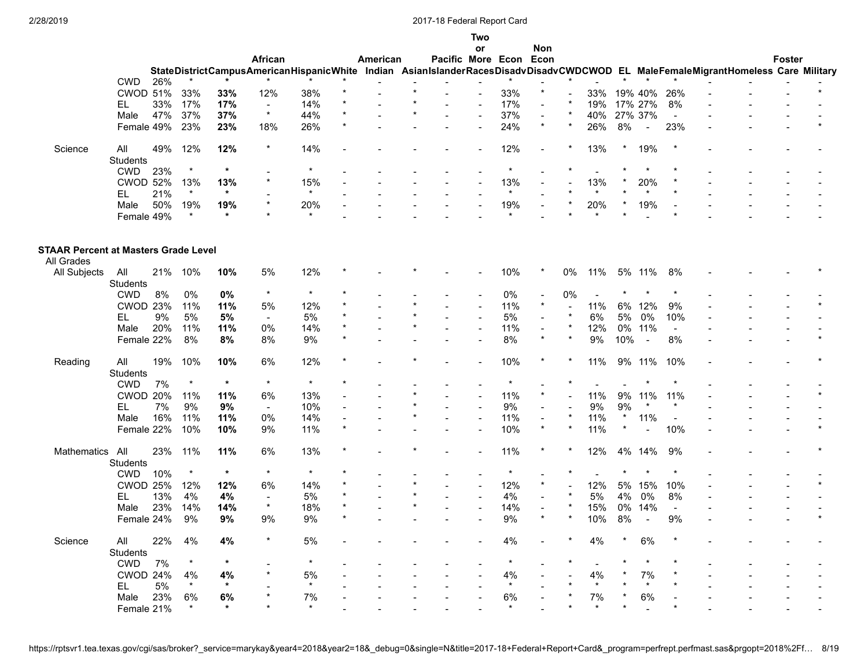| l wo |  |
|------|--|
|      |  |
|      |  |

|                                             |                        |     |                |                |                                                                                                                                  |         |         |          |                   | or             |                | Non                      |         |                          |        |                          |                          |  |        |  |
|---------------------------------------------|------------------------|-----|----------------|----------------|----------------------------------------------------------------------------------------------------------------------------------|---------|---------|----------|-------------------|----------------|----------------|--------------------------|---------|--------------------------|--------|--------------------------|--------------------------|--|--------|--|
|                                             |                        |     |                |                | African                                                                                                                          |         |         | American | Pacific More Econ |                |                | Econ                     |         |                          |        |                          |                          |  | Foster |  |
|                                             |                        |     |                |                | StateDistrictCampusAmericanHispanicWhite Indian AsianIslanderRacesDisadvDisadvCWDCWOD EL MaleFemaleMigrantHomeless Care Military |         |         |          |                   |                |                |                          |         |                          |        |                          |                          |  |        |  |
|                                             | <b>CWD</b>             | 26% |                |                |                                                                                                                                  |         |         |          |                   |                |                |                          |         |                          |        |                          |                          |  |        |  |
|                                             | <b>CWOD 51%</b>        |     | 33%            | 33%            | 12%                                                                                                                              | 38%     |         |          |                   |                | 33%            | $\star$                  |         | 33%                      |        | 19% 40%                  | 26%                      |  |        |  |
|                                             | EL.                    | 33% | 17%            | 17%            | $\sim$                                                                                                                           | 14%     |         |          |                   |                | 17%            |                          |         | 19%                      |        | 17% 27%                  | 8%                       |  |        |  |
|                                             | Male                   | 47% | 37%            | 37%            | $\star$                                                                                                                          | 44%     |         |          |                   | $\blacksquare$ | 37%            | $\blacksquare$           |         | 40%                      |        | 27% 37%                  | $\overline{a}$           |  |        |  |
|                                             | Female 49%             |     | 23%            | 23%            | 18%                                                                                                                              | 26%     |         |          |                   |                | 24%            | $\star$                  | $\star$ | 26%                      | 8%     | $\sim$                   | 23%                      |  |        |  |
|                                             |                        |     |                |                |                                                                                                                                  |         |         |          |                   |                |                |                          |         |                          |        |                          |                          |  |        |  |
| Science                                     | All                    | 49% | 12%            | 12%            | $\star$                                                                                                                          | 14%     |         |          |                   |                | 12%            |                          |         | 13%                      |        | 19%                      |                          |  |        |  |
|                                             | <b>Students</b>        |     |                |                |                                                                                                                                  |         |         |          |                   |                |                |                          |         |                          |        |                          |                          |  |        |  |
|                                             | <b>CWD</b>             | 23% | $\star$        | $\star$        |                                                                                                                                  | $\star$ |         |          |                   |                | $\star$        |                          |         |                          |        | $\star$                  |                          |  |        |  |
|                                             | <b>CWOD 52%</b>        |     | 13%            | 13%            |                                                                                                                                  | 15%     |         |          |                   |                | 13%            |                          |         | 13%                      |        | 20%                      |                          |  |        |  |
|                                             |                        |     | $\star$        | $\ast$         |                                                                                                                                  | $\star$ |         |          |                   |                | $\star$        |                          |         | $\star$                  |        |                          |                          |  |        |  |
|                                             | EL.                    | 21% |                |                |                                                                                                                                  |         |         |          |                   |                |                |                          |         |                          |        |                          |                          |  |        |  |
|                                             | Male                   | 50% | 19%<br>$\star$ | 19%<br>$\star$ |                                                                                                                                  | 20%     |         |          |                   |                | 19%<br>$\star$ |                          |         | 20%                      |        | 19%                      |                          |  |        |  |
|                                             | Female 49%             |     |                |                |                                                                                                                                  |         |         |          |                   |                |                |                          |         |                          |        |                          |                          |  |        |  |
| <b>STAAR Percent at Masters Grade Level</b> |                        |     |                |                |                                                                                                                                  |         |         |          |                   |                |                |                          |         |                          |        |                          |                          |  |        |  |
| All Grades                                  |                        |     |                |                |                                                                                                                                  |         |         |          |                   |                |                |                          |         |                          |        |                          |                          |  |        |  |
| All Subjects                                | All<br><b>Students</b> |     | 21% 10%        | 10%            | 5%                                                                                                                               | 12%     |         |          |                   |                | 10%            |                          | 0%      | 11%                      |        | 5% 11%                   | 8%                       |  |        |  |
|                                             | <b>CWD</b>             | 8%  | 0%             | 0%             | $\star$                                                                                                                          | $\star$ |         |          |                   |                | $0\%$          |                          | 0%      | $\sim$                   |        |                          |                          |  |        |  |
|                                             | <b>CWOD 23%</b>        |     | 11%            | 11%            | 5%                                                                                                                               | 12%     |         |          |                   |                | 11%            | $\star$                  |         | 11%                      |        | 6% 12%                   | 9%                       |  |        |  |
|                                             | EL                     | 9%  | 5%             | $5\%$          | $\sim$                                                                                                                           | 5%      |         |          |                   |                | $5\%$          |                          |         | 6%                       | 5%     | 0%                       | 10%                      |  |        |  |
|                                             |                        | 20% |                |                |                                                                                                                                  |         |         |          |                   |                |                |                          |         |                          |        | 0% 11%                   | $\overline{a}$           |  |        |  |
|                                             | Male                   |     | 11%            | 11%            | 0%                                                                                                                               | 14%     |         |          |                   | $\blacksquare$ | 11%            | $\sim$<br>$\star$        | $\star$ | 12%                      |        |                          |                          |  |        |  |
|                                             | Female 22%             |     | 8%             | 8%             | 8%                                                                                                                               | 9%      |         |          |                   |                | 8%             |                          |         | 9%                       | 10%    | $\overline{\phantom{a}}$ | 8%                       |  |        |  |
| Reading                                     | All                    | 19% | 10%            | 10%            | 6%                                                                                                                               | 12%     |         |          |                   |                | 10%            |                          |         | 11%                      |        | 9% 11%                   | 10%                      |  |        |  |
|                                             | <b>Students</b>        |     |                |                |                                                                                                                                  |         |         |          |                   |                |                |                          |         |                          |        |                          |                          |  |        |  |
|                                             | <b>CWD</b>             | 7%  | $\star$        | $\star$        | $\star$                                                                                                                          | $\star$ |         |          |                   |                | $\star$        | $\sim$                   |         |                          |        |                          |                          |  |        |  |
|                                             | <b>CWOD 20%</b>        |     | 11%            | 11%            | 6%                                                                                                                               | 13%     |         |          |                   |                | 11%            | $\star$                  |         | 11%                      |        | 9% 11%                   | 11%                      |  |        |  |
|                                             | EL                     | 7%  | 9%             | 9%             | $\blacksquare$                                                                                                                   | 10%     |         |          |                   |                | $9\%$          | $\overline{\phantom{a}}$ |         | 9%                       | 9%     |                          |                          |  |        |  |
|                                             | Male                   | 16% | 11%            | 11%            | 0%                                                                                                                               | 14%     |         |          |                   |                | 11%            | $\blacksquare$           |         | 11%                      | $\ast$ | 11%                      | $\overline{\phantom{a}}$ |  |        |  |
|                                             | Female 22%             |     | 10%            | 10%            | 9%                                                                                                                               | 11%     | $\star$ |          |                   |                | 10%            | $\star$                  |         | 11%                      |        |                          | 10%                      |  |        |  |
|                                             |                        |     |                |                |                                                                                                                                  |         |         |          |                   |                |                |                          |         |                          |        |                          |                          |  |        |  |
| <b>Mathematics</b>                          | All                    | 23% | 11%            | 11%            | 6%                                                                                                                               | 13%     |         |          |                   |                | 11%            |                          |         | 12%                      |        | 4% 14%                   | 9%                       |  |        |  |
|                                             | <b>Students</b>        |     |                |                |                                                                                                                                  |         |         |          |                   |                |                |                          |         |                          |        |                          |                          |  |        |  |
|                                             | <b>CWD</b>             | 10% | $\star$        | $\star$        | $\star$                                                                                                                          | $\star$ |         |          |                   |                | $\star$        |                          |         |                          |        |                          |                          |  |        |  |
|                                             | <b>CWOD 25%</b>        |     | 12%            | 12%            | 6%                                                                                                                               | 14%     |         |          |                   |                | 12%            | $\star$                  |         | 12%                      | 5%     | 15%                      | 10%                      |  |        |  |
|                                             | EL                     | 13% | 4%             | 4%             | $\sim$                                                                                                                           | 5%      |         |          |                   |                | 4%             |                          |         | $5%$                     | 4%     | 0%                       | 8%                       |  |        |  |
|                                             | Male                   | 23% | 14%            | 14%            | $\star$                                                                                                                          | 18%     |         |          |                   |                | 14%            |                          |         | 15%                      | 0%     | 14%                      | $\overline{a}$           |  |        |  |
|                                             | Female 24%             |     | 9%             | 9%             | 9%                                                                                                                               | 9%      |         |          |                   |                | $9\%$          | $\star$                  |         | 10%                      | 8%     | $\sim$                   | 9%                       |  |        |  |
|                                             |                        |     |                |                |                                                                                                                                  |         |         |          |                   |                |                |                          |         |                          |        |                          |                          |  |        |  |
| Science                                     | All                    | 22% | 4%             | 4%             |                                                                                                                                  | 5%      |         |          |                   |                | 4%             |                          |         | 4%                       |        | 6%                       |                          |  |        |  |
|                                             | Students               |     | $\star$        | $\star$        |                                                                                                                                  |         |         |          |                   |                |                |                          |         |                          |        |                          |                          |  |        |  |
|                                             | <b>CWD</b>             | 7%  |                |                |                                                                                                                                  |         |         |          |                   |                |                |                          |         | $\overline{\phantom{a}}$ |        |                          |                          |  |        |  |
|                                             | CWOD 24%               |     | 4%             | 4%             |                                                                                                                                  | 5%      |         |          |                   |                | 4%             |                          |         | 4%                       |        | 7%                       |                          |  |        |  |
|                                             | EL                     | 5%  | $\star$        | $\ast$         |                                                                                                                                  | $\star$ |         |          |                   |                | $\star$        |                          |         | $\star$                  |        |                          |                          |  |        |  |
|                                             | Male                   | 23% | 6%             | 6%             |                                                                                                                                  | 7%      |         |          |                   |                | 6%             |                          |         | 7%                       |        | 6%                       |                          |  |        |  |
|                                             | Female 21%             |     |                | $\star$        |                                                                                                                                  | $\star$ |         |          |                   |                | $\star$        |                          |         | $\star$                  |        |                          |                          |  |        |  |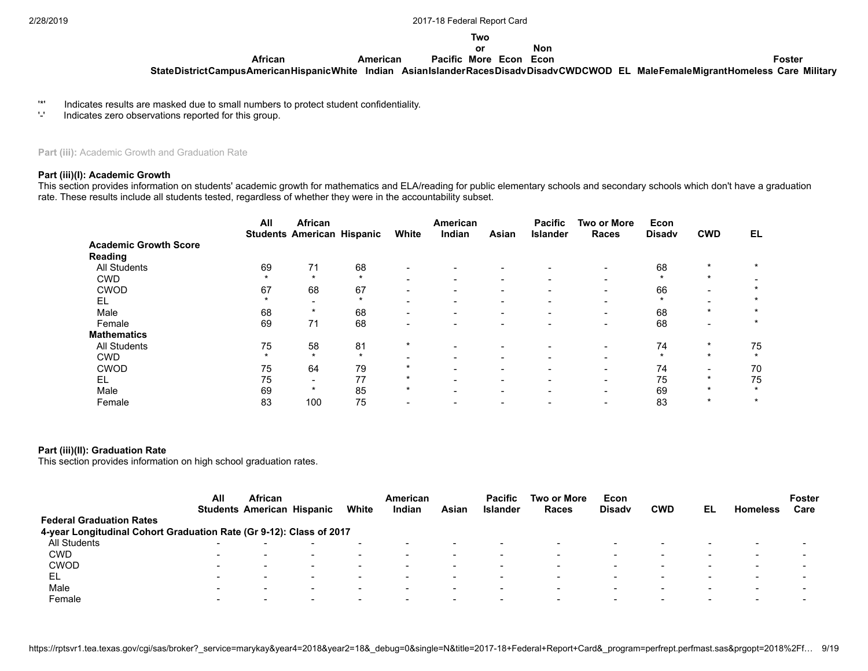#### **Two or**

#### **Non**

**Foster**

**StateDistrictCampus AmericanHispanicWhite Indian Asian Islander Races Disadv DisadvCWDCWOD EL MaleFemaleMigrantHomeless Care Military Pacific More Econ Econ**

'\*' Indicates results are masked due to small numbers to protect student confidentiality.

**African**

Indicates zero observations reported for this group.

Part (iii): Academic Growth and Graduation Rate

#### **Part (iii)(I): Academic Growth**

This section provides information on students' academic growth for mathematics and ELA/reading for public elementary schools and secondary schools which don't have a graduation rate. These results include all students tested, regardless of whether they were in the accountability subset.

**American**

|                              | All     | African<br><b>Students American Hispanic</b> |         | White                    | American<br>Indian       | Asian | <b>Pacific</b><br><b>Islander</b> | <b>Two or More</b><br><b>Races</b> | Econ<br><b>Disadv</b> | <b>CWD</b> | EL      |
|------------------------------|---------|----------------------------------------------|---------|--------------------------|--------------------------|-------|-----------------------------------|------------------------------------|-----------------------|------------|---------|
| <b>Academic Growth Score</b> |         |                                              |         |                          |                          |       |                                   |                                    |                       |            |         |
| <b>Reading</b>               |         |                                              |         |                          |                          |       |                                   |                                    |                       |            |         |
| <b>All Students</b>          | 69      | 71                                           | 68      |                          |                          |       |                                   | -                                  | 68                    | $\star$    | $\star$ |
| <b>CWD</b>                   |         | $\star$                                      | $\star$ | $\overline{\phantom{0}}$ | $\overline{\phantom{0}}$ |       | -                                 | $\overline{\phantom{0}}$           | $\star$               | $\star$    |         |
| <b>CWOD</b>                  | 67      | 68                                           | 67      | -                        |                          |       |                                   |                                    | 66                    |            |         |
| EL                           | $\star$ | $\overline{\phantom{0}}$                     | $\star$ | $\overline{\phantom{0}}$ | $\overline{\phantom{0}}$ |       | -                                 | $\overline{\phantom{0}}$           | $\star$               |            | $\star$ |
| Male                         | 68      | $\ast$                                       | 68      | -                        |                          |       |                                   | -                                  | 68                    | $\star$    | $\star$ |
| Female                       | 69      | 71                                           | 68      |                          |                          |       |                                   |                                    | 68                    |            | $\star$ |
| <b>Mathematics</b>           |         |                                              |         |                          |                          |       |                                   |                                    |                       |            |         |
| <b>All Students</b>          | 75      | 58                                           | 81      | $\star$                  | $\overline{\phantom{0}}$ |       |                                   | -                                  | 74                    | $\star$    | 75      |
| <b>CWD</b>                   |         | $\star$                                      | $\star$ | -                        | $\overline{\phantom{0}}$ |       |                                   | $\overline{\phantom{0}}$           | $\star$               | $\star$    | $\star$ |
| <b>CWOD</b>                  | 75      | 64                                           | 79      | $\star$                  |                          |       | -                                 | -                                  | 74                    |            | 70      |
| EL                           | 75      | $\overline{\phantom{0}}$                     | 77      | $\star$                  |                          |       |                                   | $\overline{\phantom{0}}$           | 75                    | $\star$    | 75      |
| Male                         | 69      | $\ast$                                       | 85      | $\star$                  |                          |       |                                   |                                    | 69                    | $\star$    | $\star$ |
| Female                       | 83      | 100                                          | 75      |                          |                          |       |                                   |                                    | 83                    | $\star$    | $\star$ |

#### **Part (iii)(II): Graduation Rate**

This section provides information on high school graduation rates.

|                                                                     | All                      | <b>African</b><br><b>Students American Hispanic</b> |                          | White                    | American<br>Indian       | Asian                    | <b>Pacific</b><br><b>Islander</b> | Two or More<br>Races     | Econ<br><b>Disadv</b> | <b>CWD</b>               | EL.                      | <b>Homeless</b>          | <b>Foster</b><br>Care    |
|---------------------------------------------------------------------|--------------------------|-----------------------------------------------------|--------------------------|--------------------------|--------------------------|--------------------------|-----------------------------------|--------------------------|-----------------------|--------------------------|--------------------------|--------------------------|--------------------------|
| <b>Federal Graduation Rates</b>                                     |                          |                                                     |                          |                          |                          |                          |                                   |                          |                       |                          |                          |                          |                          |
| 4-year Longitudinal Cohort Graduation Rate (Gr 9-12): Class of 2017 |                          |                                                     |                          |                          |                          |                          |                                   |                          |                       |                          |                          |                          |                          |
| All Students                                                        |                          |                                                     |                          |                          |                          |                          |                                   |                          |                       |                          |                          |                          |                          |
| <b>CWD</b>                                                          | $\overline{\phantom{0}}$ |                                                     |                          |                          |                          |                          |                                   |                          |                       |                          |                          |                          |                          |
| <b>CWOD</b>                                                         | $\overline{\phantom{0}}$ | $\overline{\phantom{0}}$                            | $\,$                     | $\overline{\phantom{a}}$ | $\overline{\phantom{a}}$ | -                        |                                   | $\overline{\phantom{a}}$ | -                     | $\overline{\phantom{0}}$ | $\overline{\phantom{a}}$ | -                        | $\,$                     |
| EL                                                                  | $\overline{\phantom{a}}$ | $\overline{\phantom{0}}$                            | $\overline{\phantom{a}}$ | $\overline{\phantom{0}}$ |                          | -                        | -                                 | $\overline{\phantom{a}}$ | -                     | $\sim$                   | $\overline{\phantom{0}}$ | $\overline{\phantom{a}}$ | $\overline{\phantom{0}}$ |
| Male                                                                | -                        | $\overline{\phantom{a}}$                            | -                        | $\overline{\phantom{a}}$ | $\overline{\phantom{0}}$ | -                        | $\overline{\phantom{0}}$          | $\overline{\phantom{a}}$ |                       | . .                      | -                        | $\overline{\phantom{a}}$ | -                        |
| Female                                                              | $\overline{\phantom{0}}$ | $\overline{\phantom{0}}$                            | $\overline{\phantom{a}}$ | $\overline{\phantom{a}}$ | $\overline{\phantom{0}}$ | $\overline{\phantom{a}}$ | $\sim$                            | $\overline{\phantom{0}}$ | $\sim$                | $\overline{\phantom{0}}$ | $\overline{\phantom{0}}$ | $\overline{\phantom{0}}$ | $\overline{\phantom{a}}$ |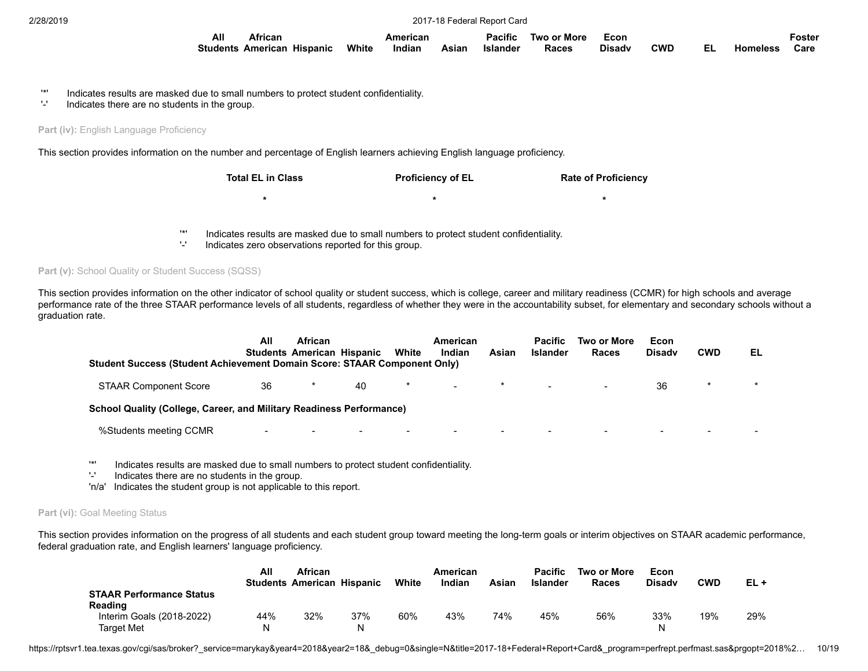| All | African                           |       | American |       | Pacific  | Two or More | Econ          |            |                 | ∙osteı |
|-----|-----------------------------------|-------|----------|-------|----------|-------------|---------------|------------|-----------------|--------|
|     | <b>Students American Hispanic</b> | White | Indian   | Asian | Islander | Races       | <b>Disadv</b> | <b>CWD</b> | <b>Homeless</b> | Care   |

- '\*' Indicates results are masked due to small numbers to protect student confidentiality.
- Indicates there are no students in the group.

**Part (iv): English Language Proficiency** 

This section provides information on the number and percentage of English learners achieving English language proficiency.

| <b>Total EL in Class</b> | <b>Proficiency of EL</b> | <b>Rate of Proficiency</b> |
|--------------------------|--------------------------|----------------------------|
| *                        | *                        | $\ast$                     |
|                          |                          |                            |

- '\*' Indicates results are masked due to small numbers to protect student confidentiality.
- Indicates zero observations reported for this group.

**Part (v):** School Quality or Student Success (SQSS)

This section provides information on the other indicator of school quality or student success, which is college, career and military readiness (CCMR) for high schools and average performance rate of the three STAAR performance levels of all students, regardless of whether they were in the accountability subset, for elementary and secondary schools without a graduation rate.

| <b>Student Success (Student Achievement Domain Score: STAAR Component Only)</b> | All                      | <b>African</b>           | <b>Students American Hispanic</b> | White  | American<br>Indian       | Asian                    | <b>Pacific</b><br><b>Islander</b> | Two or More<br>Races | Econ<br><b>Disady</b> | <b>CWD</b>               | EL      |
|---------------------------------------------------------------------------------|--------------------------|--------------------------|-----------------------------------|--------|--------------------------|--------------------------|-----------------------------------|----------------------|-----------------------|--------------------------|---------|
| <b>STAAR Component Score</b>                                                    | 36                       |                          | 40                                | *      | $\sim$                   | $\star$                  | $\sim$                            |                      | 36                    | $\star$                  | $\star$ |
| School Quality (College, Career, and Military Readiness Performance)            |                          |                          |                                   |        |                          |                          |                                   |                      |                       |                          |         |
| %Students meeting CCMR                                                          | $\overline{\phantom{a}}$ | $\overline{\phantom{a}}$ |                                   | $\sim$ | $\overline{\phantom{0}}$ | $\overline{\phantom{a}}$ | $\overline{\phantom{0}}$          |                      | $\sim$                | $\overline{\phantom{0}}$ |         |
|                                                                                 |                          |                          |                                   |        |                          |                          |                                   |                      |                       |                          |         |

'\*' Indicates results are masked due to small numbers to protect student confidentiality.

Indicates there are no students in the group.

'n/a' Indicates the student group is not applicable to this report.

#### Part (vi): Goal Meeting Status

This section provides information on the progress of all students and each student group toward meeting the long-term goals or interim objectives on STAAR academic performance, federal graduation rate, and English learners' language proficiency.

|                                 | All | African                           |     |       | American |       | <b>Pacific</b> | Two or More | Econ          |     |     |
|---------------------------------|-----|-----------------------------------|-----|-------|----------|-------|----------------|-------------|---------------|-----|-----|
|                                 |     | <b>Students American Hispanic</b> |     | White | Indian   | Asian | Islander       | Races       | <b>Disadv</b> | CWD | EL+ |
| <b>STAAR Performance Status</b> |     |                                   |     |       |          |       |                |             |               |     |     |
| <b>Reading</b>                  |     |                                   |     |       |          |       |                |             |               |     |     |
| Interim Goals (2018-2022)       | 44% | 32%                               | 37% | 60%   | 43%      | 74%   | 45%            | 56%         | 33%           | 19% | 29% |
| Target Met                      | N   |                                   | N   |       |          |       |                |             |               |     |     |

https://rptsvr1.tea.texas.gov/cqi/sas/broker?\_service=marykay&year4=2018&year2=18&\_debug=0&single=N&title=2017-18+Federal+Report+Card&\_program=perfrept.perfmast.sas&prgopt=2018%2... 10/19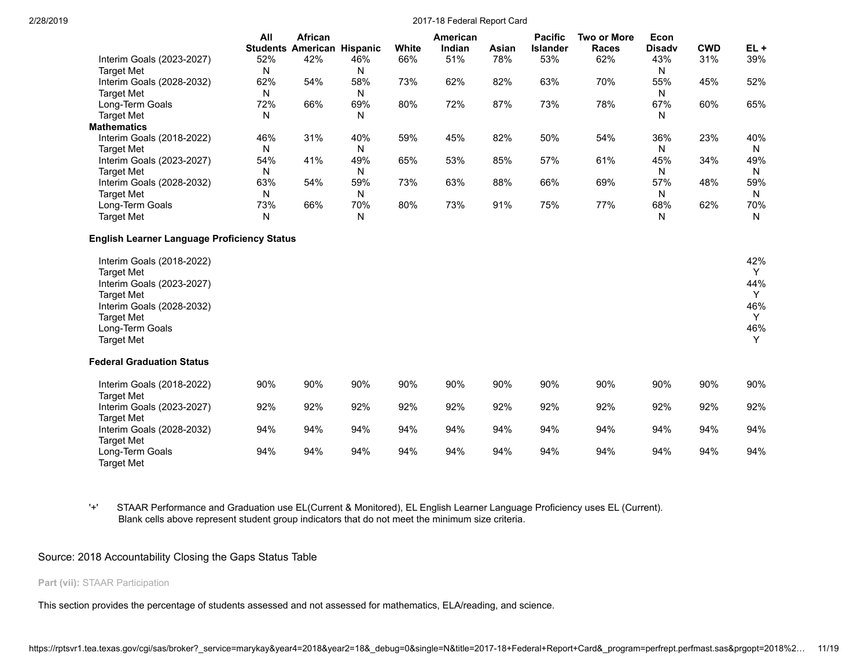|                                                                                                                                                                                            | All | African<br><b>Students American Hispanic</b> |     | White | American<br>Indian | Asian | <b>Pacific</b><br><b>Islander</b> | <b>Two or More</b><br><b>Races</b> | Econ<br><b>Disadv</b> | <b>CWD</b> | $EL +$                                       |
|--------------------------------------------------------------------------------------------------------------------------------------------------------------------------------------------|-----|----------------------------------------------|-----|-------|--------------------|-------|-----------------------------------|------------------------------------|-----------------------|------------|----------------------------------------------|
| Interim Goals (2023-2027)                                                                                                                                                                  | 52% | 42%                                          | 46% | 66%   | 51%                | 78%   | 53%                               | 62%                                | 43%                   | 31%        | 39%                                          |
| <b>Target Met</b>                                                                                                                                                                          | N   |                                              | N   |       |                    |       |                                   |                                    | N                     |            |                                              |
| Interim Goals (2028-2032)                                                                                                                                                                  | 62% | 54%                                          | 58% | 73%   | 62%                | 82%   | 63%                               | 70%                                | 55%                   | 45%        | 52%                                          |
| <b>Target Met</b>                                                                                                                                                                          | N   |                                              | Ν   |       |                    |       |                                   |                                    | N                     |            |                                              |
| Long-Term Goals                                                                                                                                                                            | 72% | 66%                                          | 69% | 80%   | 72%                | 87%   | 73%                               | 78%                                | 67%                   | 60%        | 65%                                          |
| <b>Target Met</b>                                                                                                                                                                          | N   |                                              | Ν   |       |                    |       |                                   |                                    | N                     |            |                                              |
| <b>Mathematics</b>                                                                                                                                                                         |     |                                              |     |       |                    |       |                                   |                                    |                       |            |                                              |
| Interim Goals (2018-2022)                                                                                                                                                                  | 46% | 31%                                          | 40% | 59%   | 45%                | 82%   | 50%                               | 54%                                | 36%                   | 23%        | 40%                                          |
| <b>Target Met</b>                                                                                                                                                                          | N   |                                              | N   |       |                    |       |                                   |                                    | N                     |            | N                                            |
| Interim Goals (2023-2027)                                                                                                                                                                  | 54% | 41%                                          | 49% | 65%   | 53%                | 85%   | 57%                               | 61%                                | 45%                   | 34%        | 49%                                          |
| <b>Target Met</b>                                                                                                                                                                          | N   |                                              | Ν   |       |                    |       |                                   |                                    | N                     |            | N                                            |
| Interim Goals (2028-2032)                                                                                                                                                                  | 63% | 54%                                          | 59% | 73%   | 63%                | 88%   | 66%                               | 69%                                | 57%                   | 48%        | 59%                                          |
| <b>Target Met</b>                                                                                                                                                                          | N   |                                              | Ν   |       |                    |       |                                   |                                    | N                     |            | N                                            |
| Long-Term Goals                                                                                                                                                                            | 73% | 66%                                          | 70% | 80%   | 73%                | 91%   | 75%                               | 77%                                | 68%                   | 62%        | 70%                                          |
| <b>Target Met</b>                                                                                                                                                                          | N   |                                              | Ν   |       |                    |       |                                   |                                    | Ν                     |            | N                                            |
| <b>English Learner Language Proficiency Status</b>                                                                                                                                         |     |                                              |     |       |                    |       |                                   |                                    |                       |            |                                              |
| Interim Goals (2018-2022)<br><b>Target Met</b><br>Interim Goals (2023-2027)<br><b>Target Met</b><br>Interim Goals (2028-2032)<br><b>Target Met</b><br>Long-Term Goals<br><b>Target Met</b> |     |                                              |     |       |                    |       |                                   |                                    |                       |            | 42%<br>Y<br>44%<br>Y<br>46%<br>Y<br>46%<br>Y |
| <b>Federal Graduation Status</b>                                                                                                                                                           |     |                                              |     |       |                    |       |                                   |                                    |                       |            |                                              |
| Interim Goals (2018-2022)                                                                                                                                                                  | 90% | 90%                                          | 90% | 90%   | 90%                | 90%   | 90%                               | 90%                                | 90%                   | 90%        | 90%                                          |
| <b>Target Met</b>                                                                                                                                                                          |     |                                              |     |       |                    |       |                                   |                                    |                       |            |                                              |
| Interim Goals (2023-2027)                                                                                                                                                                  | 92% | 92%                                          | 92% | 92%   | 92%                | 92%   | 92%                               | 92%                                | 92%                   | 92%        | 92%                                          |
| <b>Target Met</b>                                                                                                                                                                          |     |                                              |     |       |                    |       |                                   |                                    |                       |            |                                              |
| Interim Goals (2028-2032)                                                                                                                                                                  | 94% | 94%                                          | 94% | 94%   | 94%                | 94%   | 94%                               | 94%                                | 94%                   | 94%        | 94%                                          |
| <b>Target Met</b>                                                                                                                                                                          |     |                                              |     |       |                    |       |                                   |                                    |                       |            |                                              |
| Long-Term Goals<br>Target Met                                                                                                                                                              | 94% | 94%                                          | 94% | 94%   | 94%                | 94%   | 94%                               | 94%                                | 94%                   | 94%        | 94%                                          |

'+' STAAR Performance and Graduation use EL(Current & Monitored), EL English Learner Language Proficiency uses EL (Current). Blank cells above represent student group indicators that do not meet the minimum size criteria.

# Source: 2018 Accountability Closing the Gaps Status Table

# **Part (vii):** STAAR Participation

This section provides the percentage of students assessed and not assessed for mathematics, ELA/reading, and science.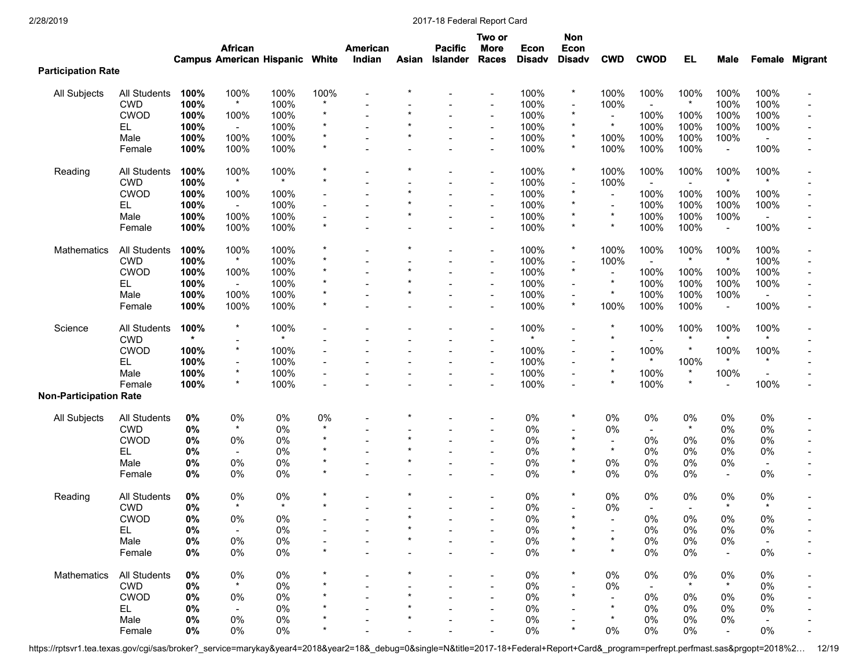|                               |              |              | <b>African</b>                        |              |         | <b>American</b> |         | <b>Pacific</b> | Two or<br><b>More</b>              | Econ          | <b>Non</b><br>Econ           |                           |                          |                |                          |                |                       |
|-------------------------------|--------------|--------------|---------------------------------------|--------------|---------|-----------------|---------|----------------|------------------------------------|---------------|------------------------------|---------------------------|--------------------------|----------------|--------------------------|----------------|-----------------------|
| <b>Participation Rate</b>     |              |              | <b>Campus American Hispanic White</b> |              |         | Indian          | Asian   | Islander       | Races                              | <b>Disadv</b> | <b>Disadv</b>                | <b>CWD</b>                | <b>CWOD</b>              | <b>EL</b>      | Male                     |                | <b>Female Migrant</b> |
|                               | All Students |              | 100%                                  | 100%         | 100%    |                 |         |                |                                    | 100%          | $\star$                      | 100%                      | 100%                     | 100%           | 100%                     | 100%           |                       |
| All Subjects                  | <b>CWD</b>   | 100%<br>100% | $\star$                               | 100%         |         |                 |         |                | $\overline{\phantom{a}}$           | 100%          | $\blacksquare$               | 100%                      | $\blacksquare$           | $\ast$         | 100%                     | 100%           |                       |
|                               | <b>CWOD</b>  |              |                                       |              |         |                 |         |                |                                    | 100%          | $\star$                      |                           |                          |                |                          |                |                       |
|                               | EL.          | 100%<br>100% | 100%<br>$\sim$                        | 100%<br>100% |         |                 |         |                | $\overline{\phantom{a}}$<br>$\sim$ | 100%          | $\star$                      | $\star$                   | 100%<br>100%             | 100%<br>100%   | 100%<br>100%             | 100%<br>100%   |                       |
|                               | Male         | 100%         | 100%                                  | 100%         |         |                 | $\star$ |                | $\blacksquare$                     | 100%          | $\star$                      | 100%                      | 100%                     | 100%           | 100%                     | $\blacksquare$ |                       |
|                               | Female       | 100%         | 100%                                  | 100%         |         |                 |         |                | $\blacksquare$                     | 100%          | $\star$                      | 100%                      | 100%                     | 100%           | $\blacksquare$           | 100%           |                       |
|                               |              |              |                                       |              |         |                 |         |                |                                    |               |                              |                           |                          |                |                          |                |                       |
| Reading                       | All Students | 100%         | 100%<br>$\star$                       | 100%         |         |                 |         |                | $\sim$                             | 100%          | $\star$                      | 100%                      | 100%                     | 100%           | 100%                     | 100%           |                       |
|                               | <b>CWD</b>   | 100%         |                                       |              |         |                 |         |                | $\overline{\phantom{a}}$           | 100%          | $\qquad \qquad \blacksquare$ | 100%                      | $\blacksquare$           | $\blacksquare$ |                          |                |                       |
|                               | <b>CWOD</b>  | 100%         | 100%                                  | 100%         |         |                 |         |                | $\blacksquare$                     | 100%          | $\star$                      | $\blacksquare$            | 100%                     | 100%           | 100%                     | 100%           |                       |
|                               | EL.          | 100%         | $\blacksquare$                        | 100%         |         |                 |         |                | $\blacksquare$                     | 100%          | $\star$                      | $\blacksquare$<br>$\star$ | 100%                     | 100%           | 100%                     | 100%           |                       |
|                               | Male         | 100%         | 100%                                  | 100%         |         |                 |         |                | $\blacksquare$                     | 100%          | $\star$                      | $\star$                   | 100%                     | 100%           | 100%                     | $\blacksquare$ |                       |
|                               | Female       | 100%         | 100%                                  | 100%         |         |                 |         |                | $\overline{\phantom{a}}$           | 100%          |                              |                           | 100%                     | 100%           | $\overline{\phantom{a}}$ | 100%           |                       |
| <b>Mathematics</b>            | All Students | 100%         | 100%                                  | 100%         |         |                 |         |                | $\blacksquare$                     | 100%          | $\star$                      | 100%                      | 100%                     | 100%           | 100%                     | 100%           |                       |
|                               | <b>CWD</b>   | 100%         | $^\ast$                               | 100%         |         |                 |         |                | $\blacksquare$                     | 100%          | $\blacksquare$               | 100%                      | $\sim$                   | $\star$        | $\star$                  | 100%           |                       |
|                               | <b>CWOD</b>  | 100%         | 100%                                  | 100%         |         |                 |         |                | $\overline{\phantom{a}}$           | 100%          | $\star$                      |                           | 100%                     | 100%           | 100%                     | 100%           |                       |
|                               | EL.          | 100%         | $\blacksquare$                        | 100%         |         |                 |         |                | $\blacksquare$                     | 100%          | $\overline{\phantom{a}}$     | $\star$                   | 100%                     | 100%           | 100%                     | 100%           |                       |
|                               | Male         | 100%         | 100%                                  | 100%         |         |                 | $\star$ |                | $\blacksquare$                     | 100%          | $\overline{a}$               | $\star$                   | 100%                     | 100%           | 100%                     | $\blacksquare$ |                       |
|                               | Female       | 100%         | 100%                                  | 100%         |         |                 |         |                | $\overline{\phantom{a}}$           | 100%          | $\star$                      | 100%                      | 100%                     | 100%           | $\overline{\phantom{a}}$ | 100%           |                       |
| Science                       | All Students | 100%         | *                                     | 100%         |         |                 |         |                |                                    | 100%          |                              | $\ast$                    | 100%                     | 100%           | 100%                     | 100%           |                       |
|                               | <b>CWD</b>   | $\star$      |                                       | $\star$      |         |                 |         |                | $\blacksquare$                     |               |                              | $\ast$                    |                          |                |                          |                |                       |
|                               | CWOD         | 100%         | *                                     | 100%         |         |                 |         |                | $\overline{\phantom{a}}$           | 100%          |                              |                           | 100%                     |                | 100%                     | 100%           |                       |
|                               | EL.          | 100%         | $\overline{\phantom{0}}$              | 100%         |         |                 |         |                | $\blacksquare$                     | 100%          | $\blacksquare$               | $\star$                   | $\star$                  | 100%           | $\star$                  |                |                       |
|                               | Male         | 100%         | *                                     | 100%         |         |                 |         |                | $\blacksquare$                     | 100%          | $\qquad \qquad \blacksquare$ | $\star$                   | 100%                     |                | 100%                     | $\blacksquare$ |                       |
|                               | Female       | 100%         | *                                     | 100%         |         |                 |         |                |                                    | 100%          |                              | $\star$                   | 100%                     | $\star$        |                          | 100%           |                       |
| <b>Non-Participation Rate</b> |              |              |                                       |              |         |                 |         |                |                                    |               |                              |                           |                          |                |                          |                |                       |
| All Subjects                  | All Students | 0%           | 0%                                    | 0%           | 0%      |                 |         |                |                                    | 0%            | $\star$                      | 0%                        | $0\%$                    | 0%             | 0%                       | 0%             |                       |
|                               | <b>CWD</b>   | $0\%$        | $\star$                               | 0%           | $\star$ |                 |         |                |                                    | $0\%$         |                              | 0%                        | $\overline{\phantom{a}}$ | $\star$        | 0%                       | 0%             |                       |
|                               | <b>CWOD</b>  | $0\%$        | 0%                                    | 0%           | $\star$ |                 | $\star$ |                | $\blacksquare$                     | 0%            | $\star$                      | $\blacksquare$            | 0%                       | 0%             | 0%                       | 0%             |                       |
|                               | EL.          | 0%           | $\overline{\phantom{a}}$              | 0%           |         |                 |         |                | $\blacksquare$                     | 0%            | $\star$                      | $\star$                   | 0%                       | 0%             | 0%                       | 0%             |                       |
|                               | Male         | 0%           | 0%                                    | 0%           |         |                 | $\star$ |                | ÷.                                 | 0%            | $\star$                      | 0%                        | 0%                       | 0%             | 0%                       |                |                       |
|                               | Female       | 0%           | 0%                                    | 0%           |         |                 |         |                |                                    | 0%            | $\star$                      | 0%                        | $0\%$                    | 0%             | $\blacksquare$           | 0%             |                       |
|                               | All Students |              | 0%                                    | 0%           |         |                 |         |                |                                    | 0%            | $\star$                      | 0%                        | $0\%$                    | 0%             | 0%                       | 0%             |                       |
| Reading                       | <b>CWD</b>   | $0\%$<br>0%  |                                       | $\star$      |         |                 |         |                |                                    | 0%            |                              | 0%                        |                          |                | $\star$                  | $\star$        |                       |
|                               |              |              |                                       |              |         |                 |         |                |                                    |               |                              |                           | $\overline{\phantom{a}}$ | $\blacksquare$ |                          |                |                       |
|                               | CWOD         | 0%           | 0%                                    | 0%           |         |                 |         |                |                                    | 0%            |                              |                           | 0%                       | 0%             | 0%                       | 0%             |                       |
|                               | EL.          | $0\%$        | $\sim$                                | 0%           |         |                 |         |                |                                    | 0%            |                              | $\star$                   | 0%                       | 0%             | 0%                       | 0%             |                       |
|                               | Male         | $0\%$        | 0%                                    | 0%           | $\star$ |                 |         |                |                                    | $0\%$         | $\star$                      | $\star$                   | $0\%$                    | $0\%$          | $0\%$                    |                |                       |
|                               | Female       | 0%           | 0%                                    | $0\%$        |         |                 |         |                |                                    | 0%            |                              |                           | $0\%$                    | 0%             | $\sim$                   | $0\%$          |                       |
| Mathematics                   | All Students | $0\%$        | 0%                                    | 0%           |         |                 |         |                |                                    | 0%            | $\ast$                       | 0%                        | 0%                       | 0%             | 0%                       | 0%             |                       |
|                               | <b>CWD</b>   | $0\%$        | $\star$                               | 0%           |         |                 |         |                |                                    | $0\%$         | $\blacksquare$               | 0%                        | $\blacksquare$           | $\star$        | $\star$                  | $0\%$          |                       |
|                               | <b>CWOD</b>  | $0\%$        | 0%                                    | 0%           |         |                 |         |                |                                    | $0\%$         | $\star$                      |                           | 0%                       | 0%             | 0%                       | 0%             |                       |
|                               | EL.          | $0\%$        |                                       | 0%           |         |                 |         |                |                                    | 0%            |                              |                           | 0%                       | 0%             | 0%                       | 0%             |                       |
|                               | Male         | $0\%$        | 0%                                    | 0%           |         |                 |         |                |                                    | 0%            |                              | $\ast$                    | 0%                       | 0%             | 0%                       |                |                       |
|                               | Female       | $0\%$        | 0%                                    | 0%           |         |                 |         |                |                                    | $0\%$         | $\star$                      | $0\%$                     | $0\%$                    | $0\%$          |                          | 0%             |                       |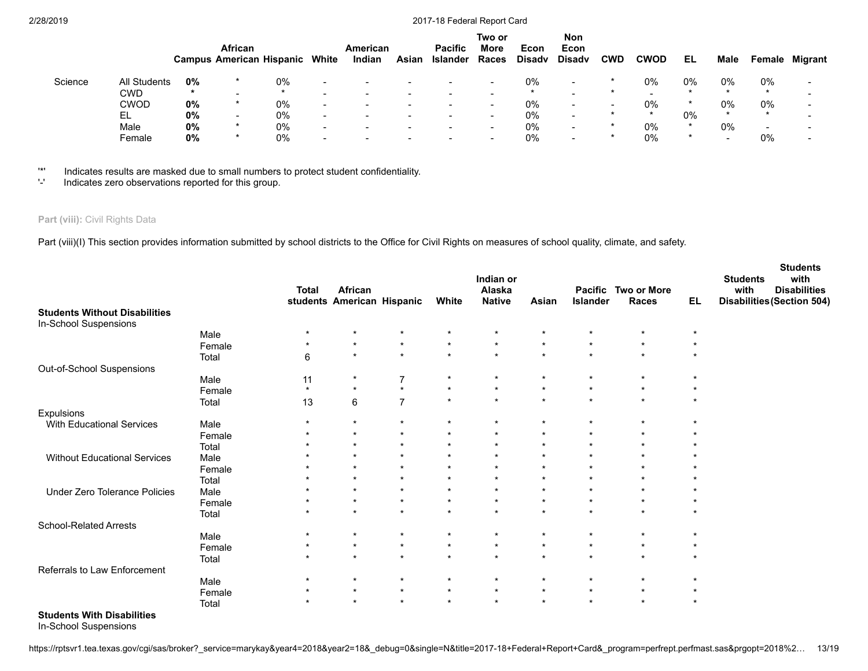|         |                     |        | African<br><b>Campus American Hispanic</b> |    | White                    | American<br>Indian       | Asian                    | <b>Pacific</b><br>Islander | Two or<br>More<br><b>Races</b> | Econ<br><b>Disadv</b> | <b>Non</b><br>Econ<br><b>Disadv</b> | CWD                      | <b>CWOD</b> | EL    | Male    | Female | <b>Migrant</b>           |
|---------|---------------------|--------|--------------------------------------------|----|--------------------------|--------------------------|--------------------------|----------------------------|--------------------------------|-----------------------|-------------------------------------|--------------------------|-------------|-------|---------|--------|--------------------------|
| Science | <b>All Students</b> | 0%     |                                            | 0% |                          | $\overline{\phantom{0}}$ | $\overline{\phantom{a}}$ | $\overline{\phantom{0}}$   | $\sim$                         | 0%                    | $\sim$                              | $\star$                  | 0%          | $0\%$ | $0\%$   | 0%     | $\overline{\phantom{0}}$ |
|         | CWD                 | $\ast$ | -                                          |    |                          |                          |                          |                            |                                |                       | $\overline{\phantom{0}}$            |                          |             |       | $\star$ |        |                          |
|         | CWOD                | 0%     | *                                          | 0% | -                        |                          |                          |                            | $\sim$                         | 0%                    | $\overline{\phantom{0}}$            | $\overline{\phantom{0}}$ | 0%          |       | $0\%$   | $0\%$  |                          |
|         | EL                  | 0%     | $\overline{\phantom{a}}$                   | 0% | $\overline{\phantom{a}}$ | $\qquad \qquad$          | $\overline{\phantom{a}}$ | $\,$                       | $\overline{\phantom{0}}$       | 0%                    | $\sim$                              | $\star$                  | $\star$     | $0\%$ | $\star$ |        | -                        |
|         | Male                | 0%     | $\star$                                    | 0% | $\overline{\phantom{a}}$ |                          |                          |                            | $\sim$                         | $0\%$                 | $\sim$                              |                          | 0%          |       | 0%      | -      |                          |
|         | Female              | 0%     | *                                          | 0% | -                        |                          |                          |                            |                                | 0%                    | $\overline{\phantom{0}}$            | *                        | $0\%$       |       | -       | $0\%$  |                          |

'\*' Indicates results are masked due to small numbers to protect student confidentiality.

Indicates zero observations reported for this group.

# Part (viii): Civil Rights Data

Part (viii)(I) This section provides information submitted by school districts to the Office for Civil Rights on measures of school quality, climate, and safety.

|                                      |        | <b>Total</b> | <b>African</b><br>students American Hispanic |                | White   | Indian or<br>Alaska<br><b>Native</b> | Asian   | <b>Pacific</b><br>Islander | <b>Two or More</b><br><b>Races</b> | EL.     | <b>Students</b><br>with<br><b>Students</b><br>with<br><b>Disabilities</b><br><b>Disabilities (Section 504)</b> |
|--------------------------------------|--------|--------------|----------------------------------------------|----------------|---------|--------------------------------------|---------|----------------------------|------------------------------------|---------|----------------------------------------------------------------------------------------------------------------|
| <b>Students Without Disabilities</b> |        |              |                                              |                |         |                                      |         |                            |                                    |         |                                                                                                                |
| In-School Suspensions                |        |              |                                              |                |         |                                      |         |                            |                                    |         |                                                                                                                |
|                                      | Male   | $\star$      | $^\star$                                     | $\star$        | $\star$ | $\star$                              | $\star$ | $\star$                    | $\star$                            | $\star$ |                                                                                                                |
|                                      | Female | $\star$      | $\star$                                      | $\star$        | $\star$ | $\star$                              | $\star$ | $\star$                    | $\star$                            | $\star$ |                                                                                                                |
|                                      | Total  | 6            | $\star$                                      | $\star$        | $\star$ | $\star$                              | $\star$ | $\star$                    | $\star$                            | $\star$ |                                                                                                                |
| Out-of-School Suspensions            |        |              |                                              |                |         |                                      |         |                            |                                    |         |                                                                                                                |
|                                      | Male   | 11           | $^\star$                                     | $\overline{7}$ | $\star$ | $\star$                              | $\star$ | $\star$                    | $\star$                            | $\star$ |                                                                                                                |
|                                      | Female | $\star$      | $\star$                                      | $\star$        | $\star$ | $\star$                              | $\star$ | $\star$                    | $\star$                            | $\star$ |                                                                                                                |
|                                      | Total  | 13           | 6                                            | $\overline{7}$ | $\star$ | $\star$                              | $\star$ | $\star$                    | $\star$                            | $\star$ |                                                                                                                |
| Expulsions                           |        |              |                                              |                |         |                                      |         |                            |                                    |         |                                                                                                                |
| With Educational Services            | Male   | $\star$      | $\star$                                      | $\star$        | $\star$ | $\star$                              | $\star$ | $\star$                    | $\star$                            | $\star$ |                                                                                                                |
|                                      | Female | $\star$      | $\star$                                      | $\star$        | $\star$ | $\star$                              | $\star$ | $\star$                    | $\star$                            |         |                                                                                                                |
|                                      | Total  | $\star$      | $\star$                                      | $\star$        | $\star$ | $\star$                              | $\star$ | $\star$                    | $\star$                            |         |                                                                                                                |
| Without Educational Services         | Male   | $\star$      | $\star$                                      | $\star$        | $\star$ | $\star$                              | $\star$ | $\star$                    | $\star$                            |         |                                                                                                                |
|                                      | Female | $\star$      | $\star$                                      | $\star$        | $\star$ | $\star$                              | $\star$ | $\star$                    | $\star$                            |         |                                                                                                                |
|                                      | Total  | $\star$      | $\star$                                      | $\star$        | $\star$ | $\star$                              | $\star$ | $\star$                    | $\star$                            |         |                                                                                                                |
| Under Zero Tolerance Policies        | Male   | $\star$      | $\star$                                      | $\star$        | $\star$ | $\star$                              | $\star$ | $\star$                    | $\star$                            |         |                                                                                                                |
|                                      | Female | $^\star$     | $\star$                                      | $\star$        | $\star$ | $\star$                              | $\star$ | $\star$                    | $\star$                            |         |                                                                                                                |
|                                      | Total  | $\star$      | $\star$                                      | $\star$        | $\star$ | $\star$                              | $\star$ | $\star$                    | $\star$                            | $\star$ |                                                                                                                |
| <b>School-Related Arrests</b>        |        |              |                                              |                |         |                                      |         |                            |                                    |         |                                                                                                                |
|                                      | Male   | $\star$      | $\star$                                      | $\star$        | $\star$ | $\star$                              | $\star$ | $\star$                    | $\star$                            |         |                                                                                                                |
|                                      | Female | $\star$      | $\star$                                      | $\star$        | $\star$ | $\star$                              | $\star$ | $\star$                    | $\star$                            | $\star$ |                                                                                                                |
|                                      | Total  | $\star$      | $\star$                                      | $\star$        | $\star$ | $\star$                              | $\star$ | $\star$                    | $\star$                            | $\star$ |                                                                                                                |
| Referrals to Law Enforcement         |        |              |                                              |                |         |                                      |         |                            |                                    |         |                                                                                                                |
|                                      | Male   | $\star$      | $\star$                                      | $\star$        | $\star$ | $\star$                              | $\star$ | $\star$                    | $\star$                            | $\star$ |                                                                                                                |
|                                      | Female | $\star$      | $\star$                                      | $\star$        | $\star$ | $\star$                              | $\star$ | $\star$                    | $\star$                            | $\star$ |                                                                                                                |
|                                      | Total  | $\star$      | $\star$                                      | $\star$        | $\star$ | $\star$                              | $\star$ | $\star$                    | $\star$                            | $\star$ |                                                                                                                |
| <b>Students With Disabilities</b>    |        |              |                                              |                |         |                                      |         |                            |                                    |         |                                                                                                                |

In-School Suspensions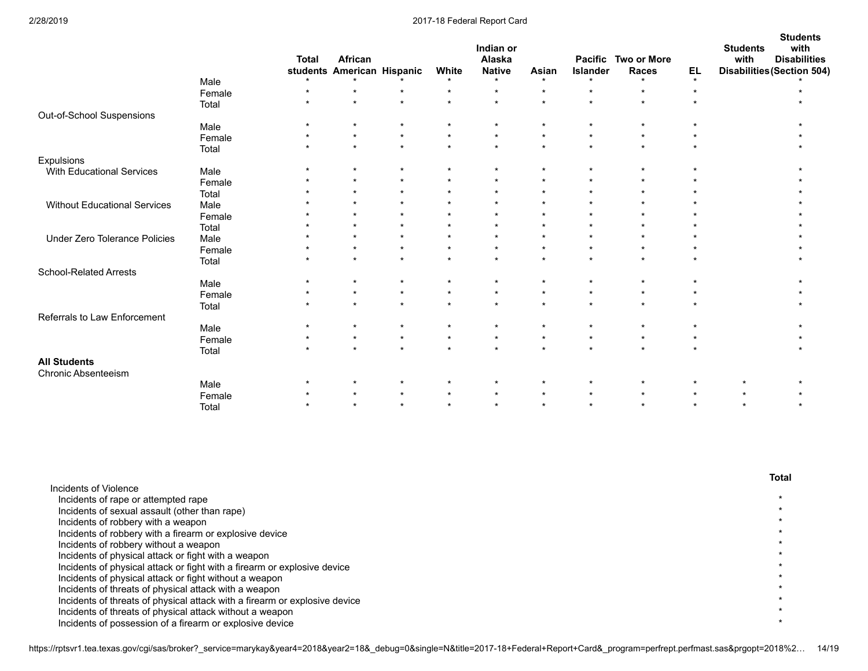|                               |        | <b>Total</b> | African<br>students American Hispanic |         | White   | Indian or<br>Alaska<br><b>Native</b><br>$\star$ | Asian<br>$\star$ | Islander<br>$\star$ | Pacific Two or More<br><b>Races</b><br>$\star$ | EL<br>$\star$ | <b>Students</b><br>with<br><b>Students</b><br>with<br><b>Disabilities</b><br><b>Disabilities (Section 504)</b> |
|-------------------------------|--------|--------------|---------------------------------------|---------|---------|-------------------------------------------------|------------------|---------------------|------------------------------------------------|---------------|----------------------------------------------------------------------------------------------------------------|
|                               | Male   | $\star$      |                                       | $\star$ | $\star$ | $\star$                                         | $\star$          | $\star$             | $\star$                                        | $\star$       |                                                                                                                |
|                               | Female | $\star$      | $\star$                               | $\star$ | $\star$ | $\star$                                         | $\star$          | $\star$             | $\star$                                        |               |                                                                                                                |
|                               | Total  |              |                                       |         |         |                                                 |                  |                     |                                                |               |                                                                                                                |
| Out-of-School Suspensions     |        |              |                                       | $\star$ |         | $\star$                                         |                  |                     | $\star$                                        |               |                                                                                                                |
|                               | Male   | $\star$      |                                       | $\star$ | $\star$ | $\star$                                         | $\star$          | $\star$             | $\star$                                        |               |                                                                                                                |
|                               | Female | $\star$      | $\star$                               | $\star$ | $\star$ | $\star$                                         | $\star$          | $\star$             | $\star$                                        |               |                                                                                                                |
|                               | Total  |              |                                       |         |         |                                                 |                  |                     |                                                |               |                                                                                                                |
| Expulsions                    |        |              | $\star$                               | $\star$ | $\star$ | $\star$                                         | $\star$          | $\star$             | $\star$                                        |               |                                                                                                                |
| With Educational Services     | Male   |              |                                       | $\star$ | $\star$ | $\star$                                         | $\star$          |                     | $\star$                                        |               |                                                                                                                |
|                               | Female |              | $\star$                               | $\star$ | $\star$ | $\star$                                         | $\star$          |                     | $\star$                                        |               |                                                                                                                |
|                               | Total  |              | $\star$                               | $\star$ | $\star$ | $\star$                                         | $\star$          |                     | $\star$                                        |               |                                                                                                                |
| Without Educational Services  | Male   |              | $\star$                               | $\star$ | $\star$ | $\star$                                         | $\star$          |                     | $\star$                                        |               |                                                                                                                |
|                               | Female |              |                                       | $\star$ | $\star$ | $\star$                                         | $\star$          |                     | $\star$                                        |               |                                                                                                                |
|                               | Total  |              |                                       | $\star$ | $\star$ | $\star$                                         | $\star$          |                     | $\star$                                        |               |                                                                                                                |
| Under Zero Tolerance Policies | Male   |              | $\star$                               | $\star$ | $\star$ | $\star$                                         | $\star$          | $\star$             | $\star$                                        |               |                                                                                                                |
|                               | Female | $\star$      | $\star$                               | $\star$ | $\star$ | $\star$                                         | $\star$          | $\star$             | $\star$                                        |               |                                                                                                                |
|                               | Total  |              |                                       |         |         |                                                 |                  |                     |                                                |               |                                                                                                                |
| School-Related Arrests        |        |              |                                       |         |         |                                                 |                  |                     |                                                |               |                                                                                                                |
|                               | Male   |              | $\star$                               | $\star$ | $\star$ | $\star$                                         | $\star$          | $\star$             | $\star$                                        |               |                                                                                                                |
|                               | Female | $\star$      | $\star$                               | $\star$ | $\star$ | $\star$                                         | $\star$          | $\star$             | $\star$                                        |               |                                                                                                                |
|                               | Total  | $\star$      | $\star$                               | $\star$ | $\star$ | $\star$                                         | $\star$          | $\star$             | $\star$                                        |               |                                                                                                                |
| Referrals to Law Enforcement  |        |              |                                       |         |         |                                                 |                  |                     |                                                |               |                                                                                                                |
|                               | Male   |              | $\star$                               | $\star$ | $\star$ | $\star$                                         | $\star$          | $\star$             | $\star$                                        |               |                                                                                                                |
|                               | Female | $\star$      | $\star$                               | $\star$ | $\star$ | $\star$                                         | $\star$          | $\star$             | $\star$                                        |               |                                                                                                                |
|                               | Total  | $\star$      | $\star$                               | $\star$ | $\star$ | $\star$                                         | $\star$          | $\star$             | $\star$                                        | $\star$       |                                                                                                                |
| <b>All Students</b>           |        |              |                                       |         |         |                                                 |                  |                     |                                                |               |                                                                                                                |
| <b>Chronic Absenteeism</b>    |        |              |                                       |         |         |                                                 |                  |                     |                                                |               |                                                                                                                |
|                               | Male   |              |                                       | $\star$ |         | $\star$                                         | $\star$          |                     | $\star$                                        |               | $\star$                                                                                                        |
|                               | Female |              |                                       | $\star$ | $\star$ | $\star$                                         | $\star$          | $\star$             | $\star$                                        | $\star$       | $\star$                                                                                                        |
|                               | Total  |              | $\star$                               | $\star$ | $\star$ | $\star$                                         | $\star$          | $\star$             | $\star$                                        | $\star$       | $\star$                                                                                                        |

|                                                                            | <b>Total</b> |
|----------------------------------------------------------------------------|--------------|
| Incidents of Violence                                                      |              |
| Incidents of rape or attempted rape                                        |              |
| Incidents of sexual assault (other than rape)                              |              |
| Incidents of robbery with a weapon                                         |              |
| Incidents of robbery with a firearm or explosive device                    |              |
| Incidents of robbery without a weapon                                      |              |
| Incidents of physical attack or fight with a weapon                        |              |
| Incidents of physical attack or fight with a firearm or explosive device   |              |
| Incidents of physical attack or fight without a weapon                     |              |
| Incidents of threats of physical attack with a weapon                      |              |
| Incidents of threats of physical attack with a firearm or explosive device |              |
| Incidents of threats of physical attack without a weapon                   |              |
| Incidents of possession of a firearm or explosive device                   |              |
|                                                                            |              |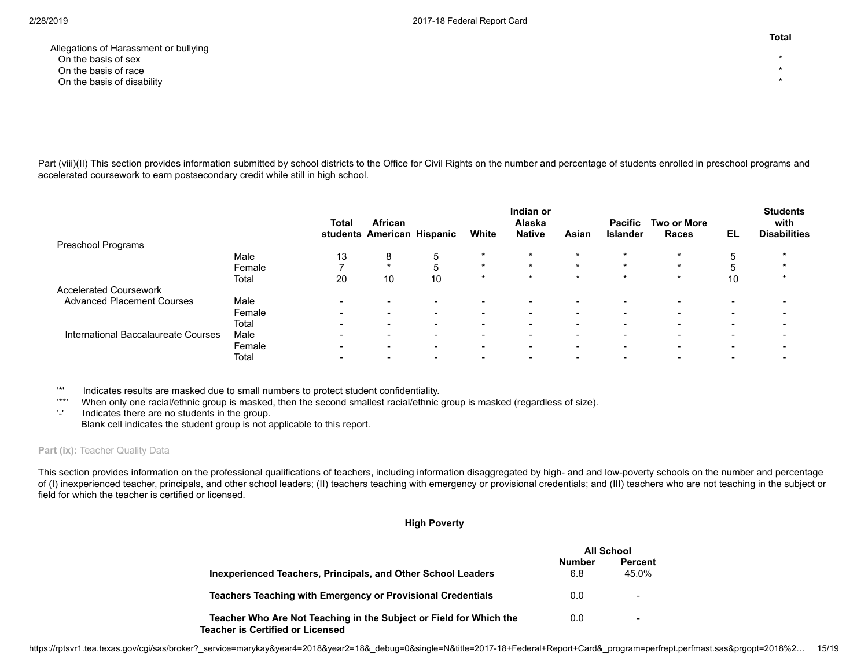Allegations of Harassment or bullying<br>On the basis of sex On the basis of sex \* On the basis of race  $\rightarrow$ On the basis of disability \*

Part (viii)(II) This section provides information submitted by school districts to the Office for Civil Rights on the number and percentage of students enrolled in preschool programs and accelerated coursework to earn postsecondary credit while still in high school.

|                                     |        | Total | <b>African</b><br>students American Hispanic |        | White                    | Indian or<br>Alaska<br><b>Native</b> | Asian                    | <b>Pacific</b><br><b>Islander</b> | Two or More<br>Races | EL | <b>Students</b><br>with<br><b>Disabilities</b> |
|-------------------------------------|--------|-------|----------------------------------------------|--------|--------------------------|--------------------------------------|--------------------------|-----------------------------------|----------------------|----|------------------------------------------------|
| Preschool Programs                  |        |       |                                              |        |                          |                                      |                          |                                   |                      |    |                                                |
|                                     | Male   | 13    | 8                                            | 5      | $\star$                  | $\star$                              | $\star$                  | $\star$                           | $\star$              | 5  |                                                |
|                                     | Female |       | $\star$                                      | 5      | $\star$                  | $\star$                              | $\star$                  | $\star$                           | $\star$              |    |                                                |
|                                     | Total  | 20    | 10                                           | 10     | $\star$                  | $\star$                              | $\star$                  | $\star$                           | $\star$              | 10 |                                                |
| <b>Accelerated Coursework</b>       |        |       |                                              |        |                          |                                      |                          |                                   |                      |    |                                                |
| <b>Advanced Placement Courses</b>   | Male   | ۰     |                                              |        | -                        |                                      |                          |                                   |                      |    |                                                |
|                                     | Female |       | $\overline{\phantom{0}}$                     | $\sim$ | $\overline{\phantom{0}}$ | $\overline{\phantom{0}}$             | $\overline{\phantom{0}}$ | $\sim$                            |                      | -  |                                                |
|                                     | Total  |       |                                              |        |                          |                                      |                          | $\overline{\phantom{0}}$          |                      |    |                                                |
| International Baccalaureate Courses | Male   | ۰     | -                                            |        | $\overline{\phantom{0}}$ |                                      |                          | -                                 |                      |    |                                                |
|                                     | Female |       | $\overline{\phantom{0}}$                     | -      | $\overline{\phantom{0}}$ | $\overline{\phantom{0}}$             |                          | $\sim$                            |                      | -  |                                                |
|                                     | Total  |       |                                              |        |                          |                                      |                          |                                   |                      |    |                                                |

'\*' Indicates results are masked due to small numbers to protect student confidentiality.

When only one racial/ethnic group is masked, then the second smallest racial/ethnic group is masked (regardless of size).

'-' Indicates there are no students in the group. Blank cell indicates the student group is not applicable to this report.

# Part (ix): Teacher Quality Data

This section provides information on the professional qualifications of teachers, including information disaggregated by high- and and low-poverty schools on the number and percentage of (I) inexperienced teacher, principals, and other school leaders; (II) teachers teaching with emergency or provisional credentials; and (III) teachers who are not teaching in the subject or field for which the teacher is certified or licensed.

#### **High Poverty**

|                                                                                                               | All School    |                          |
|---------------------------------------------------------------------------------------------------------------|---------------|--------------------------|
| Inexperienced Teachers, Principals, and Other School Leaders                                                  | Number<br>6.8 | <b>Percent</b><br>45.0%  |
| <b>Teachers Teaching with Emergency or Provisional Credentials</b>                                            | 0.0           | -                        |
| Teacher Who Are Not Teaching in the Subject or Field for Which the<br><b>Teacher is Certified or Licensed</b> | 0.0           | $\overline{\phantom{a}}$ |

**Total**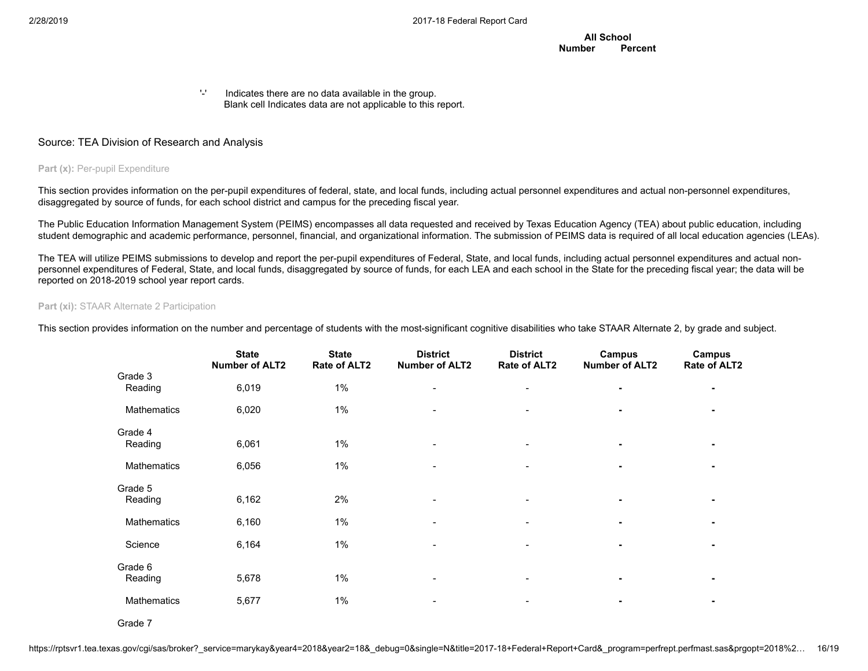**All School Number Percent**

'-' Indicates there are no data available in the group. Blank cell Indicates data are not applicable to this report.

# Source: TEA Division of Research and Analysis

# **Part (x): Per-pupil Expenditure**

This section provides information on the per-pupil expenditures of federal, state, and local funds, including actual personnel expenditures and actual non-personnel expenditures, disaggregated by source of funds, for each school district and campus for the preceding fiscal year.

The Public Education Information Management System (PEIMS) encompasses all data requested and received by Texas Education Agency (TEA) about public education, including student demographic and academic performance, personnel, financial, and organizational information. The submission of PEIMS data is required of all local education agencies (LEAs).

The TEA will utilize PEIMS submissions to develop and report the per-pupil expenditures of Federal, State, and local funds, including actual personnel expenditures and actual nonpersonnel expenditures of Federal, State, and local funds, disaggregated by source of funds, for each LEA and each school in the State for the preceding fiscal year; the data will be reported on 2018-2019 school year report cards.

#### **Part (xi): STAAR Alternate 2 Participation**

This section provides information on the number and percentage of students with the most-significant cognitive disabilities who take STAAR Alternate 2, by grade and subject.

|                    | <b>State</b><br><b>Number of ALT2</b> | <b>State</b><br>Rate of ALT2 | <b>District</b><br><b>Number of ALT2</b> | <b>District</b><br>Rate of ALT2 | Campus<br><b>Number of ALT2</b> | Campus<br>Rate of ALT2 |
|--------------------|---------------------------------------|------------------------------|------------------------------------------|---------------------------------|---------------------------------|------------------------|
| Grade 3<br>Reading | 6,019                                 | $1\%$                        | ۰                                        | $\overline{\phantom{a}}$        | $\blacksquare$                  |                        |
| Mathematics        | 6,020                                 | $1\%$                        |                                          |                                 |                                 |                        |
| Grade 4<br>Reading | 6,061                                 | $1\%$                        | $\qquad \qquad \blacksquare$             |                                 |                                 |                        |
| <b>Mathematics</b> | 6,056                                 | $1\%$                        |                                          |                                 |                                 |                        |
| Grade 5<br>Reading | 6,162                                 | 2%                           |                                          |                                 |                                 |                        |
| Mathematics        | 6,160                                 | $1\%$                        | $\overline{\phantom{a}}$                 | ÷                               | $\blacksquare$                  |                        |
| Science            | 6,164                                 | $1\%$                        |                                          |                                 |                                 |                        |
| Grade 6<br>Reading | 5,678                                 | $1\%$                        |                                          |                                 |                                 |                        |
| Mathematics        | 5,677                                 | $1\%$                        |                                          |                                 |                                 |                        |

Grade 7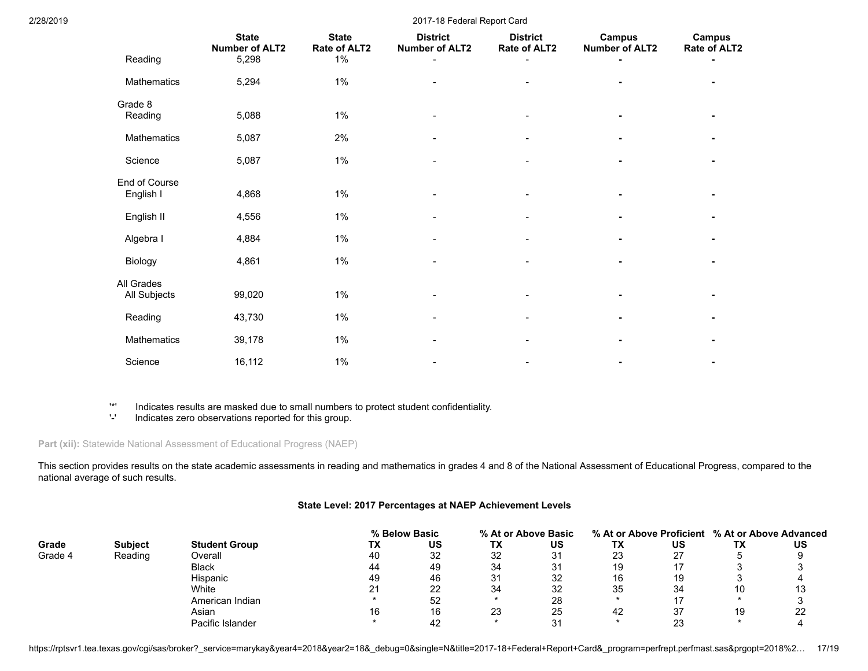| 2/28/2019 |                            | 2017-18 Federal Report Card                    |                                       |                                          |                                 |                                        |                        |  |  |  |
|-----------|----------------------------|------------------------------------------------|---------------------------------------|------------------------------------------|---------------------------------|----------------------------------------|------------------------|--|--|--|
|           | Reading                    | <b>State</b><br><b>Number of ALT2</b><br>5,298 | <b>State</b><br>Rate of ALT2<br>$1\%$ | <b>District</b><br><b>Number of ALT2</b> | <b>District</b><br>Rate of ALT2 | <b>Campus</b><br><b>Number of ALT2</b> | Campus<br>Rate of ALT2 |  |  |  |
|           | Mathematics                | 5,294                                          | $1\%$                                 |                                          |                                 |                                        |                        |  |  |  |
|           | Grade 8<br>Reading         | 5,088                                          | $1\%$                                 |                                          |                                 |                                        |                        |  |  |  |
|           | Mathematics                | 5,087                                          | 2%                                    |                                          |                                 |                                        |                        |  |  |  |
|           | Science                    | 5,087                                          | $1\%$                                 | $\overline{\phantom{a}}$                 |                                 |                                        |                        |  |  |  |
|           | End of Course<br>English I | 4,868                                          | $1\%$                                 |                                          |                                 |                                        |                        |  |  |  |
|           | English II                 | 4,556                                          | $1\%$                                 | $\overline{\phantom{a}}$                 |                                 | $\blacksquare$                         |                        |  |  |  |
|           | Algebra I                  | 4,884                                          | 1%                                    | $\blacksquare$                           |                                 |                                        |                        |  |  |  |
|           | Biology                    | 4,861                                          | $1\%$                                 |                                          |                                 |                                        |                        |  |  |  |
|           | All Grades<br>All Subjects | 99,020                                         | $1\%$                                 |                                          |                                 |                                        |                        |  |  |  |
|           | Reading                    | 43,730                                         | $1\%$                                 |                                          |                                 |                                        |                        |  |  |  |
|           | Mathematics                | 39,178                                         | $1\%$                                 |                                          |                                 |                                        |                        |  |  |  |
|           | Science                    | 16,112                                         | $1\%$                                 |                                          |                                 |                                        |                        |  |  |  |

'\*' Indicates results are masked due to small numbers to protect student confidentiality.

Indicates zero observations reported for this group.

**Part (xii):** Statewide National Assessment of Educational Progress (NAEP)

This section provides results on the state academic assessments in reading and mathematics in grades 4 and 8 of the National Assessment of Educational Progress, compared to the national average of such results.

# **State Level: 2017 Percentages at NAEP Achievement Levels**

|         |                |                      |    | % Below Basic |    | % At or Above Basic |    |          |    | % At or Above Proficient % At or Above Advanced |
|---------|----------------|----------------------|----|---------------|----|---------------------|----|----------|----|-------------------------------------------------|
| Grade   | <b>Subject</b> | <b>Student Group</b> | ТX | US            | ТX | US                  | ТX | บร       | ТX | US                                              |
| Grade 4 | Reading        | Overall              | 40 | 32            | 32 | 31                  | 23 | 27       |    |                                                 |
|         |                | <b>Black</b>         | 44 | 49            | 34 | 31                  | 19 |          |    |                                                 |
|         |                | <b>Hispanic</b>      | 49 | 46            | 31 | 32                  | 16 | 19       |    |                                                 |
|         |                | White                |    | 22            | 34 | 32                  | 35 | 34       | 10 | l3                                              |
|         |                | American Indian      |    | 52            |    | 28                  |    |          |    |                                                 |
|         |                | Asian                | 16 | 16            | 23 | 25                  | 42 | 37       | 19 | 22                                              |
|         |                | Pacific Islander     |    |               |    | ີ                   |    | າາ<br>∠J |    |                                                 |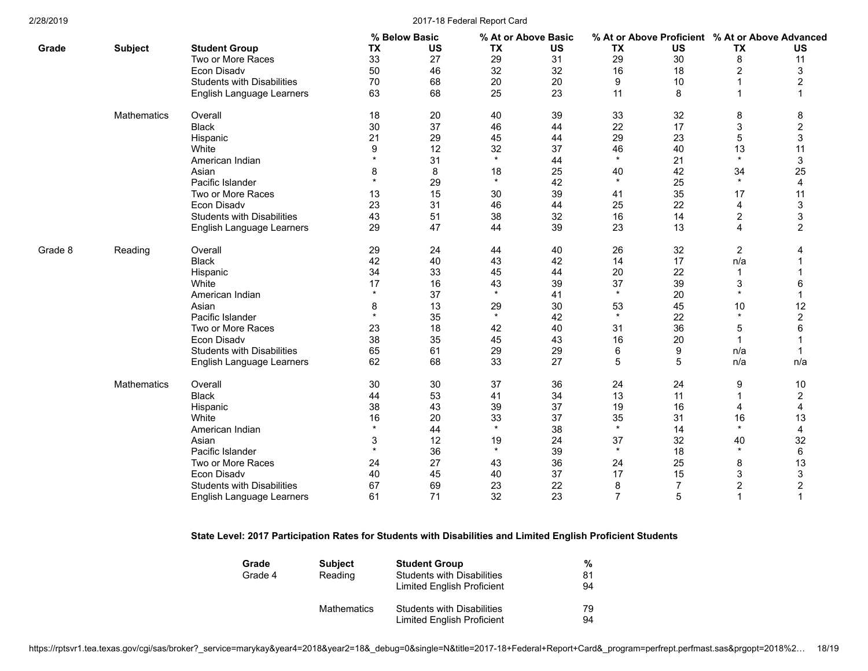|         |                    |                                   |           | % Below Basic |           | % At or Above Basic |                | % At or Above Proficient % At or Above Advanced |                |                |
|---------|--------------------|-----------------------------------|-----------|---------------|-----------|---------------------|----------------|-------------------------------------------------|----------------|----------------|
| Grade   | <b>Subject</b>     | <b>Student Group</b>              | <b>TX</b> | <b>US</b>     | <b>TX</b> | <b>US</b>           | <b>TX</b>      | <b>US</b>                                       | <b>TX</b>      | <b>US</b>      |
|         |                    | Two or More Races                 | 33        | 27            | 29        | 31                  | 29             | 30                                              | 8              | 11             |
|         |                    | Econ Disadv                       | 50        | 46            | 32        | 32                  | 16             | 18                                              | 2              | 3              |
|         |                    | <b>Students with Disabilities</b> | 70        | 68            | 20        | 20                  | 9              | 10                                              |                | $\overline{2}$ |
|         |                    | English Language Learners         | 63        | 68            | 25        | 23                  | 11             | 8                                               | 1              | 1              |
|         | <b>Mathematics</b> | Overall                           | 18        | 20            | 40        | 39                  | 33             | 32                                              | 8              | 8              |
|         |                    | <b>Black</b>                      | 30        | 37            | 46        | 44                  | 22             | 17                                              | 3              | $\overline{c}$ |
|         |                    | Hispanic                          | 21        | 29            | 45        | 44                  | 29             | 23                                              | 5              | 3              |
|         |                    | White                             | 9         | 12            | 32        | 37                  | 46             | 40                                              | 13             | 11             |
|         |                    | American Indian                   |           | 31            | $\star$   | 44                  | $\star$        | 21                                              | $\star$        | 3              |
|         |                    | Asian                             | 8         | 8             | 18        | 25                  | 40             | 42                                              | 34             | 25             |
|         |                    | Pacific Islander                  | $\star$   | 29            | $\star$   | 42                  | $\star$        | 25                                              | $\star$        | 4              |
|         |                    | Two or More Races                 | 13        | 15            | 30        | 39                  | 41             | 35                                              | 17             | 11             |
|         |                    | Econ Disadv                       | 23        | 31            | 46        | 44                  | 25             | 22                                              | 4              | 3              |
|         |                    | <b>Students with Disabilities</b> | 43        | 51            | 38        | 32                  | 16             | 14                                              | 2              | 3              |
|         |                    | English Language Learners         | 29        | 47            | 44        | 39                  | 23             | 13                                              | 4              | $\overline{2}$ |
| Grade 8 | Reading            | Overall                           | 29        | 24            | 44        | 40                  | 26             | 32                                              | $\overline{c}$ | 4              |
|         |                    | <b>Black</b>                      | 42        | 40            | 43        | 42                  | 14             | 17                                              | n/a            |                |
|         |                    | Hispanic                          | 34        | 33            | 45        | 44                  | 20             | 22                                              | 1              |                |
|         |                    | White                             | 17        | 16            | 43        | 39                  | 37             | 39                                              | 3              | 6              |
|         |                    | American Indian                   | $\star$   | 37            | $\star$   | 41                  | $\star$        | 20                                              | $\star$        | 1              |
|         |                    | Asian                             | 8         | 13            | 29        | 30                  | 53             | 45                                              | 10             | 12             |
|         |                    | Pacific Islander                  | $\star$   | 35            | $\star$   | 42                  | $\star$        | 22                                              | $\star$        | 2              |
|         |                    | Two or More Races                 | 23        | 18            | 42        | 40                  | 31             | 36                                              | 5              | 6              |
|         |                    | Econ Disadv                       | 38        | 35            | 45        | 43                  | 16             | 20                                              | 1              | 1              |
|         |                    | <b>Students with Disabilities</b> | 65        | 61            | 29        | 29                  | 6              | 9                                               | n/a            | 1              |
|         |                    | English Language Learners         | 62        | 68            | 33        | 27                  | 5              | 5                                               | n/a            | n/a            |
|         | Mathematics        | Overall                           | 30        | 30            | 37        | 36                  | 24             | 24                                              | 9              | 10             |
|         |                    | <b>Black</b>                      | 44        | 53            | 41        | 34                  | 13             | 11                                              | 1              | 2              |
|         |                    | Hispanic                          | 38        | 43            | 39        | 37                  | 19             | 16                                              | 4              | 4              |
|         |                    | White                             | 16        | 20            | 33        | 37                  | 35             | 31                                              | 16             | 13             |
|         |                    | American Indian                   | $\star$   | 44            | $\star$   | 38                  | $\star$        | 14                                              | $\star$        | 4              |
|         |                    | Asian                             | 3         | 12            | 19        | 24                  | 37             | 32                                              | 40             | 32             |
|         |                    | Pacific Islander                  | $\star$   | 36            | $\star$   | 39                  | $\star$        | 18                                              | $\star$        | 6              |
|         |                    | Two or More Races                 | 24        | 27            | 43        | 36                  | 24             | 25                                              | 8              | 13             |
|         |                    | Econ Disadv                       | 40        | 45            | 40        | 37                  | 17             | 15                                              | 3              | 3              |
|         |                    | <b>Students with Disabilities</b> | 67        | 69            | 23        | 22                  | 8              | $\overline{7}$                                  | 2              | $\overline{c}$ |
|         |                    | English Language Learners         | 61        | 71            | 32        | 23                  | $\overline{7}$ | 5                                               | 1              | 1              |

# **State Level: 2017 Participation Rates for Students with Disabilities and Limited English Proficient Students**

| Grade   | <b>Subject</b> | <b>Student Group</b>              | %  |
|---------|----------------|-----------------------------------|----|
| Grade 4 | Reading        | <b>Students with Disabilities</b> | 81 |
|         |                | Limited English Proficient        | 94 |
|         | Mathematics    | <b>Students with Disabilities</b> | 79 |
|         |                | Limited English Proficient        | 94 |